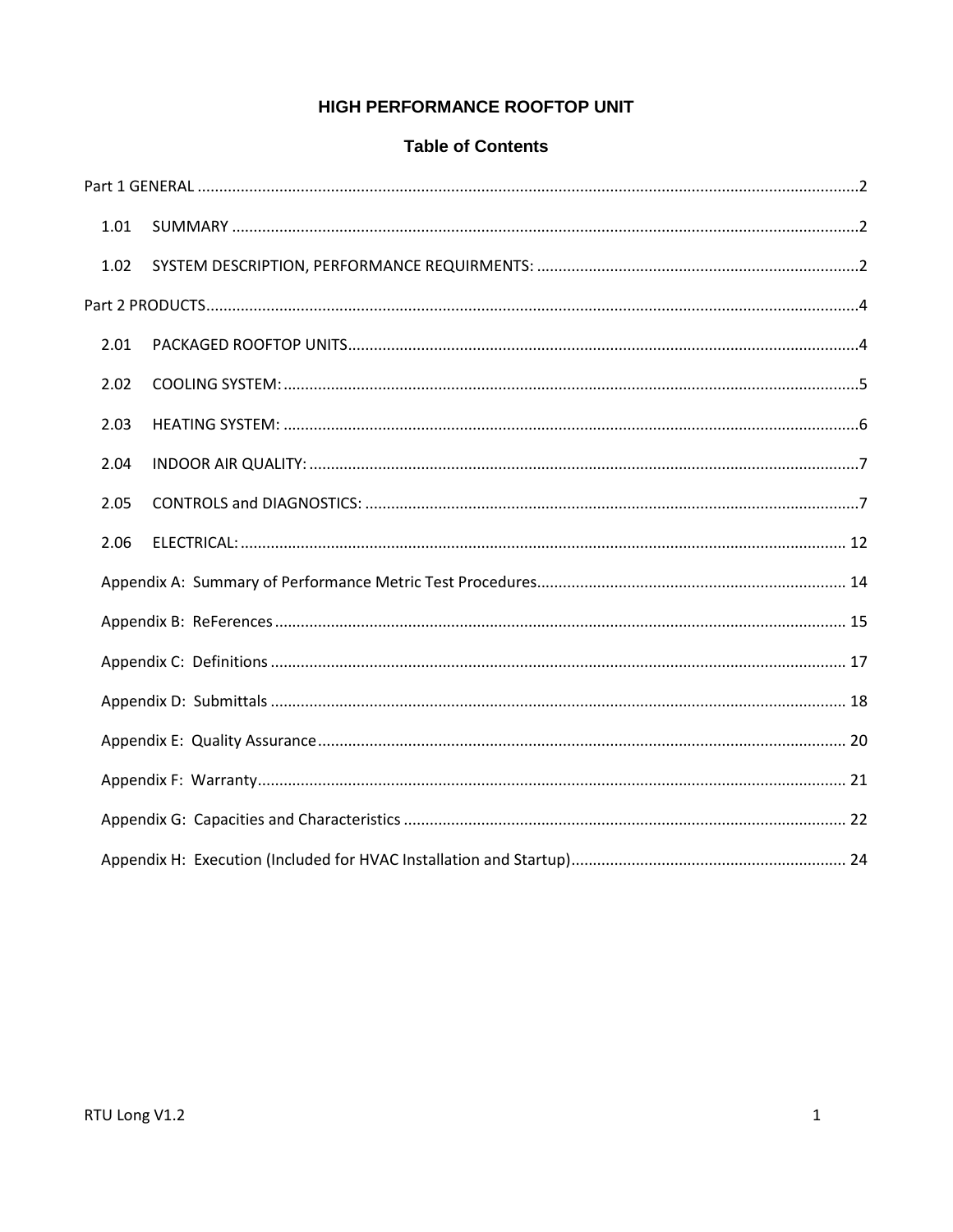# HIGH PERFORMANCE ROOFTOP UNIT

### **Table of Contents**

| 1.01 |  |
|------|--|
| 1.02 |  |
|      |  |
| 2.01 |  |
| 2.02 |  |
| 2.03 |  |
| 2.04 |  |
| 2.05 |  |
| 2.06 |  |
|      |  |
|      |  |
|      |  |
|      |  |
|      |  |
|      |  |
|      |  |
|      |  |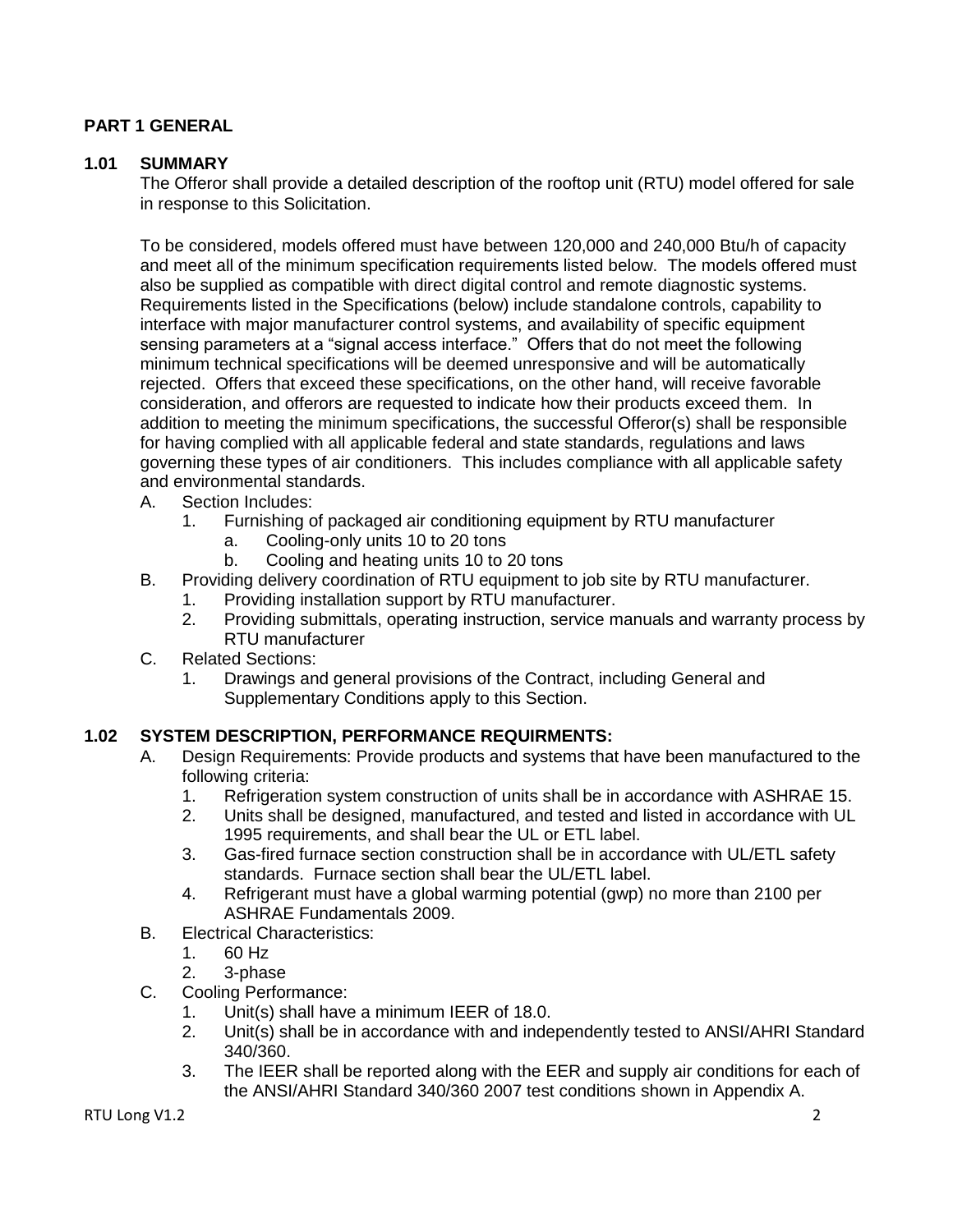## <span id="page-1-0"></span>**PART 1 GENERAL**

### <span id="page-1-1"></span>**1.01 SUMMARY**

The Offeror shall provide a detailed description of the rooftop unit (RTU) model offered for sale in response to this Solicitation.

To be considered, models offered must have between 120,000 and 240,000 Btu/h of capacity and meet all of the minimum specification requirements listed below. The models offered must also be supplied as compatible with direct digital control and remote diagnostic systems. Requirements listed in the Specifications (below) include standalone controls, capability to interface with major manufacturer control systems, and availability of specific equipment sensing parameters at a "signal access interface." Offers that do not meet the following minimum technical specifications will be deemed unresponsive and will be automatically rejected. Offers that exceed these specifications, on the other hand, will receive favorable consideration, and offerors are requested to indicate how their products exceed them. In addition to meeting the minimum specifications, the successful Offeror(s) shall be responsible for having complied with all applicable federal and state standards, regulations and laws governing these types of air conditioners. This includes compliance with all applicable safety and environmental standards.

- A. Section Includes:
	- 1. Furnishing of packaged air conditioning equipment by RTU manufacturer
		- a. Cooling-only units 10 to 20 tons
		- b. Cooling and heating units 10 to 20 tons
- B. Providing delivery coordination of RTU equipment to job site by RTU manufacturer.
	- 1. Providing installation support by RTU manufacturer.
	- 2. Providing submittals, operating instruction, service manuals and warranty process by RTU manufacturer
- C. Related Sections:
	- 1. Drawings and general provisions of the Contract, including General and Supplementary Conditions apply to this Section.

### <span id="page-1-2"></span>**1.02 SYSTEM DESCRIPTION, PERFORMANCE REQUIRMENTS:**

- A. Design Requirements: Provide products and systems that have been manufactured to the following criteria:
	- 1. Refrigeration system construction of units shall be in accordance with ASHRAE 15.
	- 2. Units shall be designed, manufactured, and tested and listed in accordance with UL 1995 requirements, and shall bear the UL or ETL label.
	- 3. Gas-fired furnace section construction shall be in accordance with UL/ETL safety standards. Furnace section shall bear the UL/ETL label.
	- 4. Refrigerant must have a global warming potential (gwp) no more than 2100 per ASHRAE Fundamentals 2009.
- B. Electrical Characteristics:
	- 1. 60 Hz
	- 2. 3-phase
- C. Cooling Performance:
	- 1. Unit(s) shall have a minimum IEER of 18.0.
	- 2. Unit(s) shall be in accordance with and independently tested to ANSI/AHRI Standard 340/360.
	- 3. The IEER shall be reported along with the EER and supply air conditions for each of the ANSI/AHRI Standard 340/360 2007 test conditions shown in Appendix A.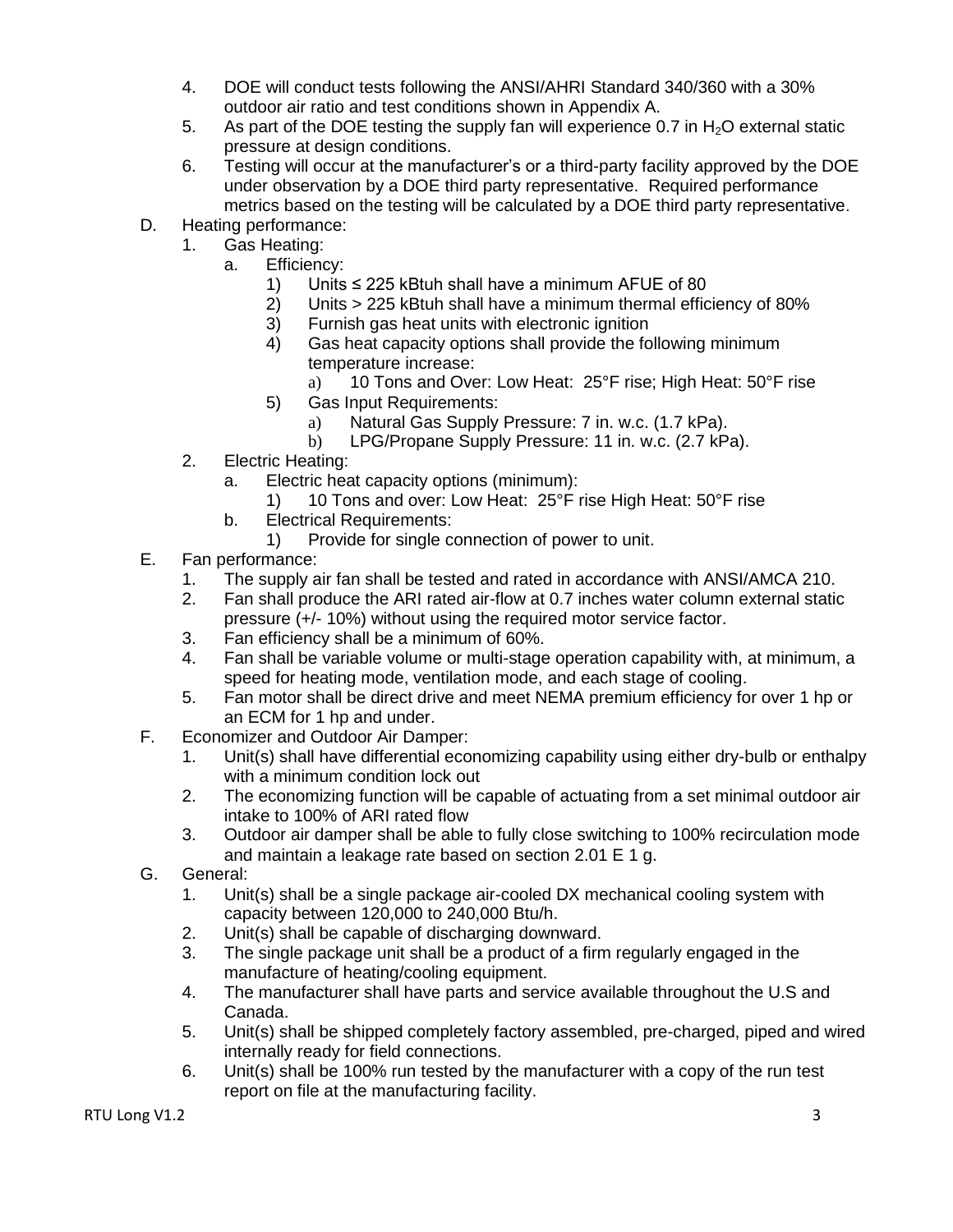- 4. DOE will conduct tests following the ANSI/AHRI Standard 340/360 with a 30% outdoor air ratio and test conditions shown in Appendix A.
- 5. As part of the DOE testing the supply fan will experience 0.7 in  $H_2O$  external static pressure at design conditions.
- 6. Testing will occur at the manufacturer's or a third-party facility approved by the DOE under observation by a DOE third party representative. Required performance metrics based on the testing will be calculated by a DOE third party representative.
- D. Heating performance:
	- 1. Gas Heating:
		- a. Efficiency:
			- 1) Units ≤ 225 kBtuh shall have a minimum AFUE of 80<br>2) Units > 225 kBtuh shall have a minimum thermal effic
			- 2) Units > 225 kBtuh shall have a minimum thermal efficiency of 80%
			- 3) Furnish gas heat units with electronic ignition
			- 4) Gas heat capacity options shall provide the following minimum temperature increase:
				- a) 10 Tons and Over: Low Heat: 25°F rise; High Heat: 50°F rise
			- 5) Gas Input Requirements:
				- a) Natural Gas Supply Pressure: 7 in. w.c. (1.7 kPa).
				- b) LPG/Propane Supply Pressure: 11 in. w.c. (2.7 kPa).
	- 2. Electric Heating:
		- a. Electric heat capacity options (minimum):
			- 1) 10 Tons and over: Low Heat: 25°F rise High Heat: 50°F rise
		- b. Electrical Requirements:
			- 1) Provide for single connection of power to unit.
- E. Fan performance:
	- 1. The supply air fan shall be tested and rated in accordance with ANSI/AMCA 210.
	- 2. Fan shall produce the ARI rated air-flow at 0.7 inches water column external static pressure (+/- 10%) without using the required motor service factor.
	- 3. Fan efficiency shall be a minimum of 60%.
	- 4. Fan shall be variable volume or multi-stage operation capability with, at minimum, a speed for heating mode, ventilation mode, and each stage of cooling.
	- 5. Fan motor shall be direct drive and meet NEMA premium efficiency for over 1 hp or an ECM for 1 hp and under.
- F. Economizer and Outdoor Air Damper:
	- 1. Unit(s) shall have differential economizing capability using either dry-bulb or enthalpy with a minimum condition lock out
	- 2. The economizing function will be capable of actuating from a set minimal outdoor air intake to 100% of ARI rated flow
	- 3. Outdoor air damper shall be able to fully close switching to 100% recirculation mode and maintain a leakage rate based on section 2.01 E 1 g.
- G. General:
	- 1. Unit(s) shall be a single package air-cooled DX mechanical cooling system with capacity between 120,000 to 240,000 Btu/h.
	- 2. Unit(s) shall be capable of discharging downward.
	- 3. The single package unit shall be a product of a firm regularly engaged in the manufacture of heating/cooling equipment.
	- 4. The manufacturer shall have parts and service available throughout the U.S and Canada.
	- 5. Unit(s) shall be shipped completely factory assembled, pre-charged, piped and wired internally ready for field connections.
	- 6. Unit(s) shall be 100% run tested by the manufacturer with a copy of the run test report on file at the manufacturing facility.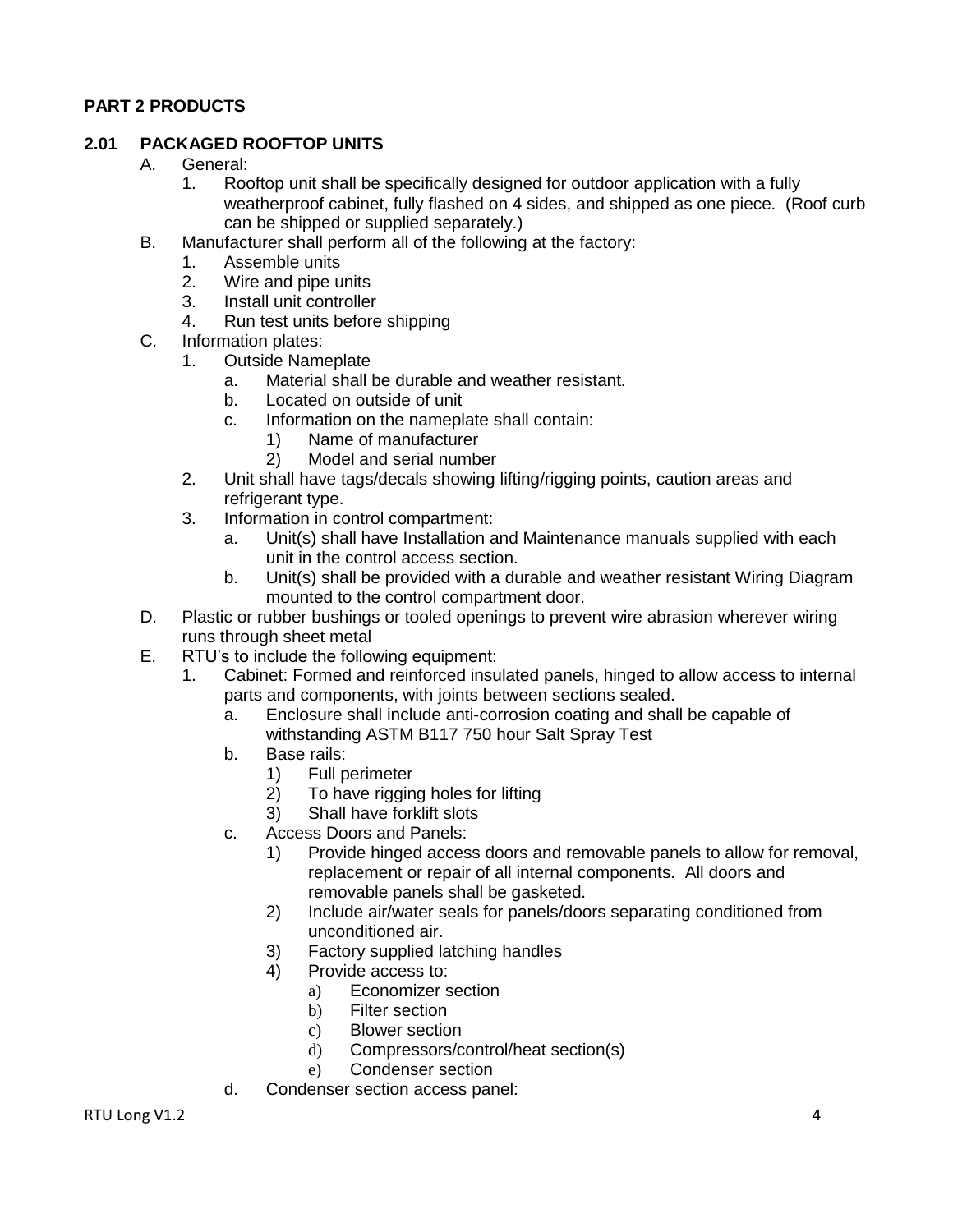# <span id="page-3-0"></span>**PART 2 PRODUCTS**

### <span id="page-3-1"></span>**2.01 PACKAGED ROOFTOP UNITS**

- A. General:
	- 1. Rooftop unit shall be specifically designed for outdoor application with a fully weatherproof cabinet, fully flashed on 4 sides, and shipped as one piece. (Roof curb can be shipped or supplied separately.)
- B. Manufacturer shall perform all of the following at the factory:
	- 1. Assemble units
	- 2. Wire and pipe units
	- 3. Install unit controller
	- 4. Run test units before shipping
- C. Information plates:<br>1. Outside Name
	- Outside Nameplate
		- a. Material shall be durable and weather resistant.
		- b. Located on outside of unit
		- c. Information on the nameplate shall contain:
			- 1) Name of manufacturer
			- 2) Model and serial number
	- 2. Unit shall have tags/decals showing lifting/rigging points, caution areas and refrigerant type.
	- 3. Information in control compartment:
		- a. Unit(s) shall have Installation and Maintenance manuals supplied with each unit in the control access section.
		- b. Unit(s) shall be provided with a durable and weather resistant Wiring Diagram mounted to the control compartment door.
- D. Plastic or rubber bushings or tooled openings to prevent wire abrasion wherever wiring runs through sheet metal
- E. RTU's to include the following equipment:
	- 1. Cabinet: Formed and reinforced insulated panels, hinged to allow access to internal parts and components, with joints between sections sealed.
		- a. Enclosure shall include anti-corrosion coating and shall be capable of withstanding ASTM B117 750 hour Salt Spray Test
		- b. Base rails:
			- 1) Full perimeter
			- 2) To have rigging holes for lifting
			- 3) Shall have forklift slots
		- c. Access Doors and Panels:
			- 1) Provide hinged access doors and removable panels to allow for removal, replacement or repair of all internal components. All doors and removable panels shall be gasketed.
			- 2) Include air/water seals for panels/doors separating conditioned from unconditioned air.
			- 3) Factory supplied latching handles
			- 4) Provide access to:
				- a) Economizer section
				- b) Filter section
				- c) Blower section
				- d) Compressors/control/heat section(s)
				- e) Condenser section
		- d. Condenser section access panel: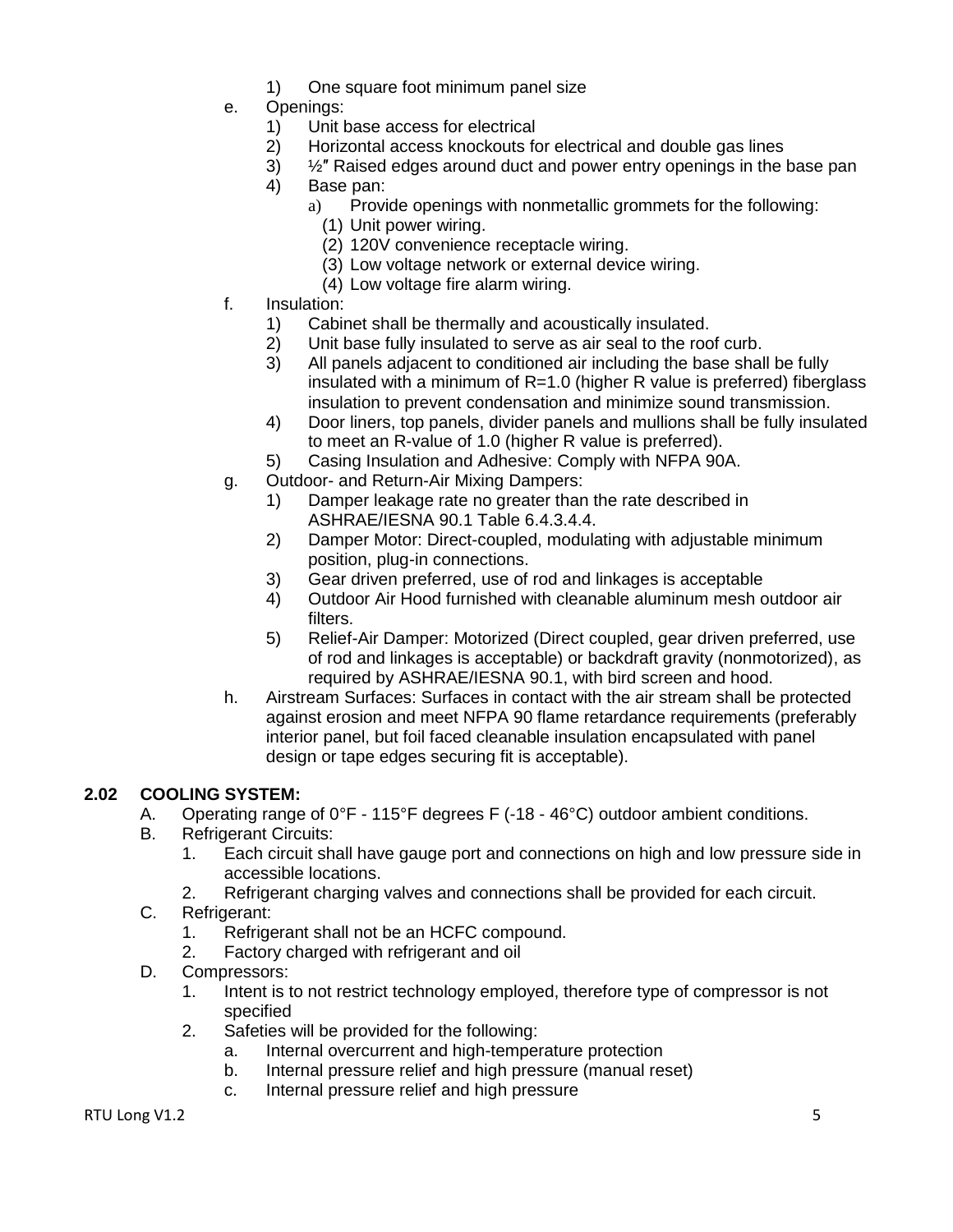- 1) One square foot minimum panel size
- e. Openings:
	- 1) Unit base access for electrical
	- 2) Horizontal access knockouts for electrical and double gas lines
	- 3) ½″ Raised edges around duct and power entry openings in the base pan
	- 4) Base pan:
		- a) Provide openings with nonmetallic grommets for the following:
			- (1) Unit power wiring.
			- (2) 120V convenience receptacle wiring.
			- (3) Low voltage network or external device wiring.
			- (4) Low voltage fire alarm wiring.
- f. Insulation:
	- 1) Cabinet shall be thermally and acoustically insulated.
	- 2) Unit base fully insulated to serve as air seal to the roof curb.
	- 3) All panels adjacent to conditioned air including the base shall be fully insulated with a minimum of R=1.0 (higher R value is preferred) fiberglass insulation to prevent condensation and minimize sound transmission.
	- 4) Door liners, top panels, divider panels and mullions shall be fully insulated to meet an R-value of 1.0 (higher R value is preferred).
	- 5) Casing Insulation and Adhesive: Comply with NFPA 90A.
- g. Outdoor- and Return-Air Mixing Dampers:
	- 1) Damper leakage rate no greater than the rate described in ASHRAE/IESNA 90.1 Table 6.4.3.4.4.
	- 2) Damper Motor: Direct-coupled, modulating with adjustable minimum position, plug-in connections.
	- 3) Gear driven preferred, use of rod and linkages is acceptable
	- 4) Outdoor Air Hood furnished with cleanable aluminum mesh outdoor air filters.
	- 5) Relief-Air Damper: Motorized (Direct coupled, gear driven preferred, use of rod and linkages is acceptable) or backdraft gravity (nonmotorized), as required by ASHRAE/IESNA 90.1, with bird screen and hood.
- h. Airstream Surfaces: Surfaces in contact with the air stream shall be protected against erosion and meet NFPA 90 flame retardance requirements (preferably interior panel, but foil faced cleanable insulation encapsulated with panel design or tape edges securing fit is acceptable).

### <span id="page-4-0"></span>**2.02 COOLING SYSTEM:**

- A. Operating range of  $0^{\circ}F 115^{\circ}F$  degrees F (-18 46 $^{\circ}C$ ) outdoor ambient conditions.
- B. Refrigerant Circuits:
	- 1. Each circuit shall have gauge port and connections on high and low pressure side in accessible locations.
	- 2. Refrigerant charging valves and connections shall be provided for each circuit.
- C. Refrigerant:
	- 1. Refrigerant shall not be an HCFC compound.
	- 2. Factory charged with refrigerant and oil
- D. Compressors:
	- 1. Intent is to not restrict technology employed, therefore type of compressor is not specified
	- 2. Safeties will be provided for the following:
		- a. Internal overcurrent and high-temperature protection
		- b. Internal pressure relief and high pressure (manual reset)
		- c. Internal pressure relief and high pressure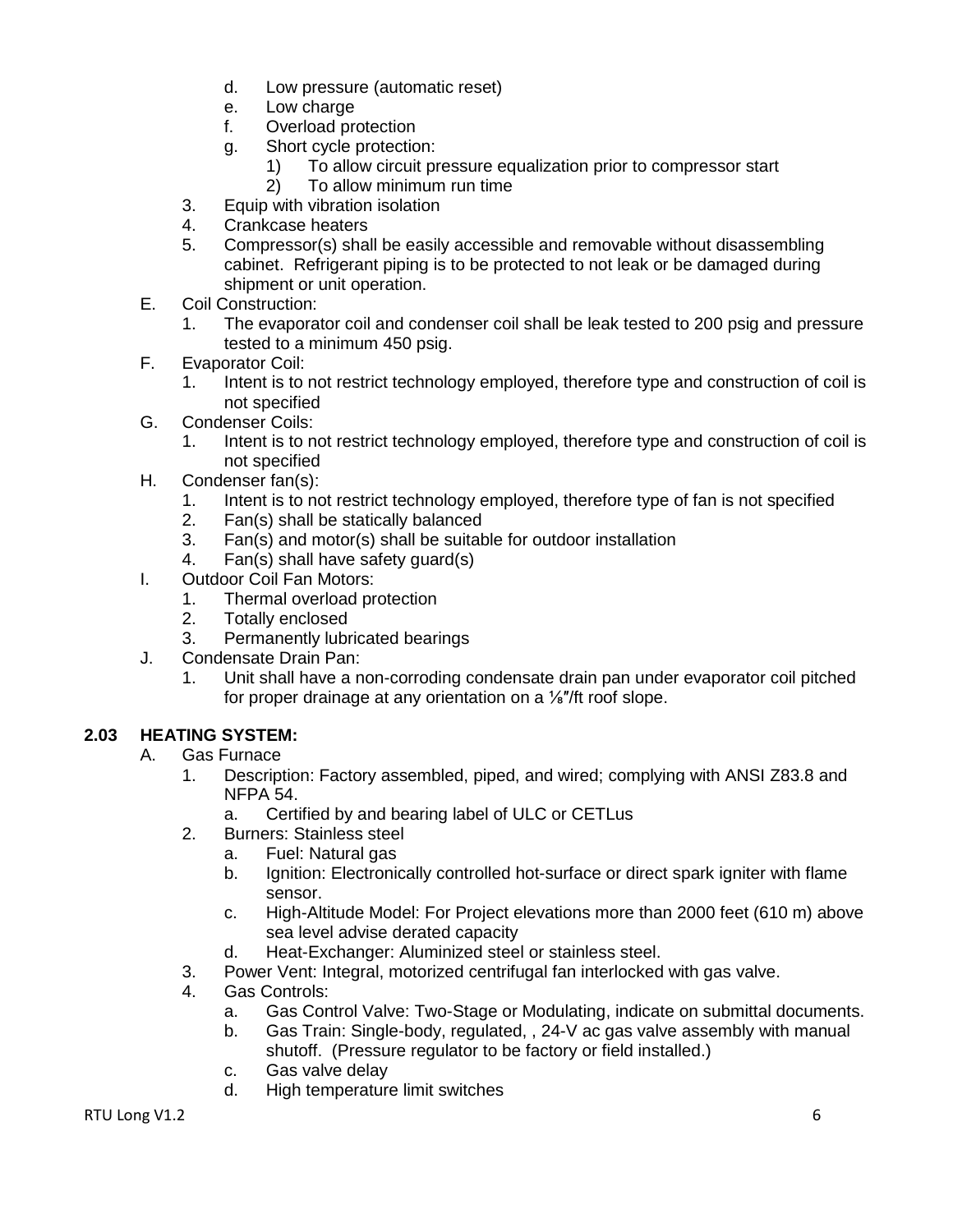- d. Low pressure (automatic reset)
- e. Low charge
- f. Overload protection
- g. Short cycle protection:
	- 1) To allow circuit pressure equalization prior to compressor start
	- 2) To allow minimum run time
- 3. Equip with vibration isolation
- 4. Crankcase heaters
- 5. Compressor(s) shall be easily accessible and removable without disassembling cabinet. Refrigerant piping is to be protected to not leak or be damaged during shipment or unit operation.
- E. Coil Construction:
	- 1. The evaporator coil and condenser coil shall be leak tested to 200 psig and pressure tested to a minimum 450 psig.
- F. Evaporator Coil:
	- 1. Intent is to not restrict technology employed, therefore type and construction of coil is not specified
- G. Condenser Coils:
	- 1. Intent is to not restrict technology employed, therefore type and construction of coil is not specified
- H. Condenser fan(s):
	- 1. Intent is to not restrict technology employed, therefore type of fan is not specified
	- 2. Fan(s) shall be statically balanced
	- 3. Fan(s) and motor(s) shall be suitable for outdoor installation
	- 4. Fan(s) shall have safety guard(s)
- I. Outdoor Coil Fan Motors:
	- 1. Thermal overload protection
	- 2. Totally enclosed
	- 3. Permanently lubricated bearings
- J. Condensate Drain Pan:
	- 1. Unit shall have a non-corroding condensate drain pan under evaporator coil pitched for proper drainage at any orientation on a <sup>1/s"</sup>/ft roof slope.

# <span id="page-5-0"></span>**2.03 HEATING SYSTEM:**

- A. Gas Furnace
	- 1. Description: Factory assembled, piped, and wired; complying with ANSI Z83.8 and NFPA 54.
		- a. Certified by and bearing label of ULC or CETLus
	- 2. Burners: Stainless steel
		- a. Fuel: Natural gas
		- b. Ignition: Electronically controlled hot-surface or direct spark igniter with flame sensor.
		- c. High-Altitude Model: For Project elevations more than 2000 feet (610 m) above sea level advise derated capacity
		- d. Heat-Exchanger: Aluminized steel or stainless steel.
	- 3. Power Vent: Integral, motorized centrifugal fan interlocked with gas valve.
	- 4. Gas Controls:
		- a. Gas Control Valve: Two-Stage or Modulating, indicate on submittal documents.
		- b. Gas Train: Single-body, regulated, , 24-V ac gas valve assembly with manual shutoff. (Pressure regulator to be factory or field installed.)
		- c. Gas valve delay
		- d. High temperature limit switches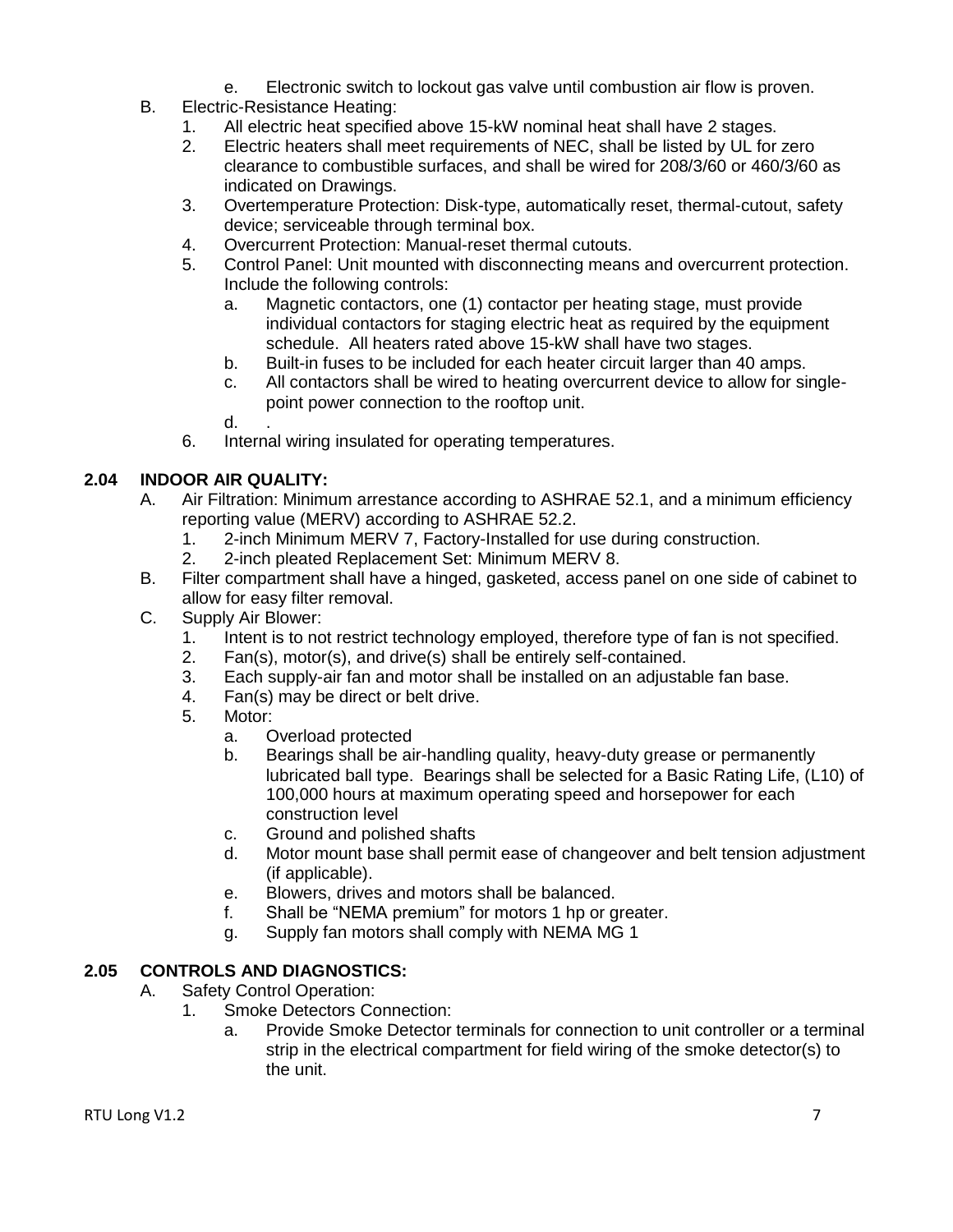- e. Electronic switch to lockout gas valve until combustion air flow is proven.
- B. Electric-Resistance Heating:
	- 1. All electric heat specified above 15-kW nominal heat shall have 2 stages.
	- 2. Electric heaters shall meet requirements of NEC, shall be listed by UL for zero clearance to combustible surfaces, and shall be wired for 208/3/60 or 460/3/60 as indicated on Drawings.
	- 3. Overtemperature Protection: Disk-type, automatically reset, thermal-cutout, safety device; serviceable through terminal box.
	- 4. Overcurrent Protection: Manual-reset thermal cutouts.
	- 5. Control Panel: Unit mounted with disconnecting means and overcurrent protection. Include the following controls:
		- a. Magnetic contactors, one (1) contactor per heating stage, must provide individual contactors for staging electric heat as required by the equipment schedule. All heaters rated above 15-kW shall have two stages.
		- b. Built-in fuses to be included for each heater circuit larger than 40 amps.
		- c. All contactors shall be wired to heating overcurrent device to allow for singlepoint power connection to the rooftop unit.
		- $d_{\cdot}$
	- 6. Internal wiring insulated for operating temperatures.

# <span id="page-6-0"></span>**2.04 INDOOR AIR QUALITY:**

- A. Air Filtration: Minimum arrestance according to ASHRAE 52.1, and a minimum efficiency reporting value (MERV) according to ASHRAE 52.2.
	- 1. 2-inch Minimum MERV 7, Factory-Installed for use during construction.
	- 2. 2-inch pleated Replacement Set: Minimum MERV 8.
- B. Filter compartment shall have a hinged, gasketed, access panel on one side of cabinet to allow for easy filter removal.
- C. Supply Air Blower:
	- 1. Intent is to not restrict technology employed, therefore type of fan is not specified.
	- 2. Fan(s), motor(s), and drive(s) shall be entirely self-contained.
	- 3. Each supply-air fan and motor shall be installed on an adjustable fan base.
	- 4. Fan(s) may be direct or belt drive.
	- 5. Motor:
		- a. Overload protected
		- b. Bearings shall be air-handling quality, heavy-duty grease or permanently lubricated ball type. Bearings shall be selected for a Basic Rating Life, (L10) of 100,000 hours at maximum operating speed and horsepower for each construction level
		- c. Ground and polished shafts
		- d. Motor mount base shall permit ease of changeover and belt tension adjustment (if applicable).
		- e. Blowers, drives and motors shall be balanced.
		- f. Shall be "NEMA premium" for motors 1 hp or greater.
		- g. Supply fan motors shall comply with NEMA MG 1

### <span id="page-6-1"></span>**2.05 CONTROLS AND DIAGNOSTICS:**

- A. Safety Control Operation:
	- 1. Smoke Detectors Connection:
		- a. Provide Smoke Detector terminals for connection to unit controller or a terminal strip in the electrical compartment for field wiring of the smoke detector(s) to the unit.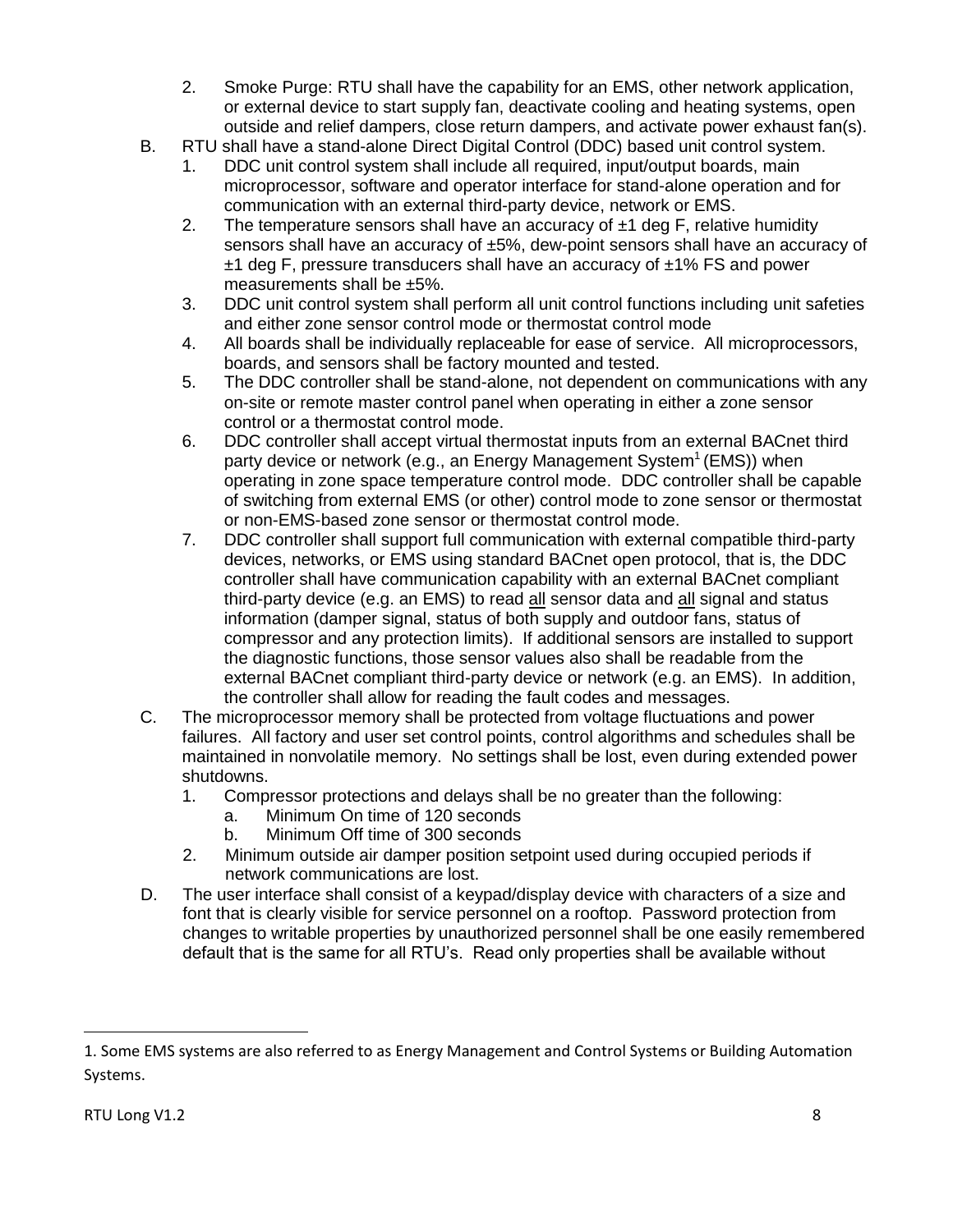- 2. Smoke Purge: RTU shall have the capability for an EMS, other network application, or external device to start supply fan, deactivate cooling and heating systems, open outside and relief dampers, close return dampers, and activate power exhaust fan(s).
- B. RTU shall have a stand-alone Direct Digital Control (DDC) based unit control system.
	- 1. DDC unit control system shall include all required, input/output boards, main microprocessor, software and operator interface for stand-alone operation and for communication with an external third-party device, network or EMS.
	- 2. The temperature sensors shall have an accuracy of  $\pm 1$  deg F, relative humidity sensors shall have an accuracy of  $±5\%$ , dew-point sensors shall have an accuracy of  $±1$  deg F, pressure transducers shall have an accuracy of  $±1\%$  FS and power measurements shall be ±5%.
	- 3. DDC unit control system shall perform all unit control functions including unit safeties and either zone sensor control mode or thermostat control mode
	- 4. All boards shall be individually replaceable for ease of service. All microprocessors, boards, and sensors shall be factory mounted and tested.
	- 5. The DDC controller shall be stand-alone, not dependent on communications with any on-site or remote master control panel when operating in either a zone sensor control or a thermostat control mode.
	- 6. DDC controller shall accept virtual thermostat inputs from an external BACnet third party device or network (e.g., an Energy Management System<sup>1</sup> (EMS)) when operating in zone space temperature control mode. DDC controller shall be capable of switching from external EMS (or other) control mode to zone sensor or thermostat or non-EMS-based zone sensor or thermostat control mode.
	- 7. DDC controller shall support full communication with external compatible third-party devices, networks, or EMS using standard BACnet open protocol, that is, the DDC controller shall have communication capability with an external BACnet compliant third-party device (e.g. an EMS) to read all sensor data and all signal and status information (damper signal, status of both supply and outdoor fans, status of compressor and any protection limits). If additional sensors are installed to support the diagnostic functions, those sensor values also shall be readable from the external BACnet compliant third-party device or network (e.g. an EMS). In addition, the controller shall allow for reading the fault codes and messages.
- C. The microprocessor memory shall be protected from voltage fluctuations and power failures. All factory and user set control points, control algorithms and schedules shall be maintained in nonvolatile memory. No settings shall be lost, even during extended power shutdowns.
	- 1. Compressor protections and delays shall be no greater than the following:
		- a. Minimum On time of 120 seconds
		- b. Minimum Off time of 300 seconds
	- 2. Minimum outside air damper position setpoint used during occupied periods if network communications are lost.
- D. The user interface shall consist of a keypad/display device with characters of a size and font that is clearly visible for service personnel on a rooftop. Password protection from changes to writable properties by unauthorized personnel shall be one easily remembered default that is the same for all RTU's. Read only properties shall be available without

 $\overline{\phantom{a}}$ 

<sup>1.</sup> Some EMS systems are also referred to as Energy Management and Control Systems or Building Automation Systems.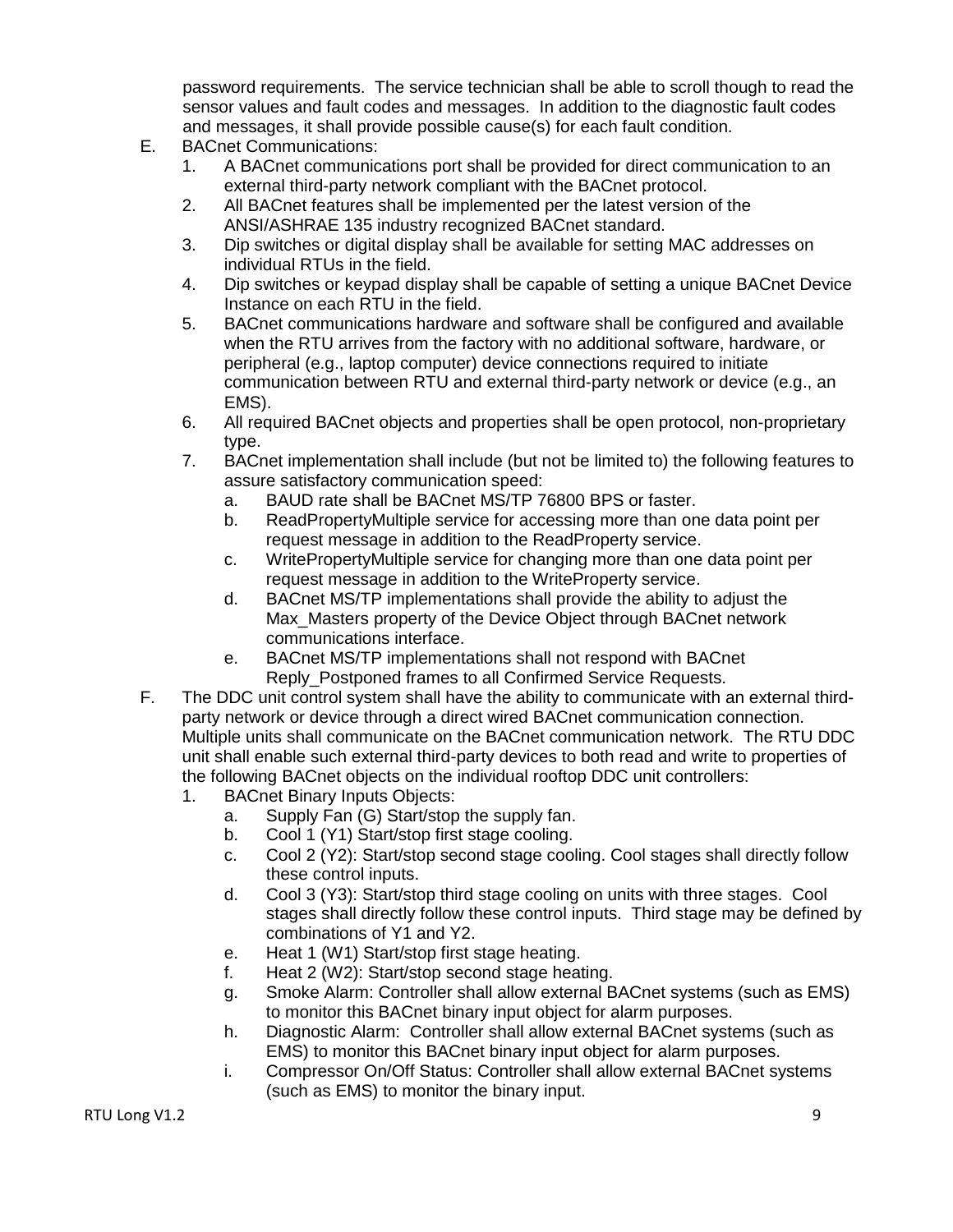password requirements. The service technician shall be able to scroll though to read the sensor values and fault codes and messages. In addition to the diagnostic fault codes and messages, it shall provide possible cause(s) for each fault condition.

- E. BACnet Communications:
	- 1. A BACnet communications port shall be provided for direct communication to an external third-party network compliant with the BACnet protocol.
	- 2. All BACnet features shall be implemented per the latest version of the ANSI/ASHRAE 135 industry recognized BACnet standard.
	- 3. Dip switches or digital display shall be available for setting MAC addresses on individual RTUs in the field.
	- 4. Dip switches or keypad display shall be capable of setting a unique BACnet Device Instance on each RTU in the field.
	- 5. BACnet communications hardware and software shall be configured and available when the RTU arrives from the factory with no additional software, hardware, or peripheral (e.g., laptop computer) device connections required to initiate communication between RTU and external third-party network or device (e.g., an EMS).
	- 6. All required BACnet objects and properties shall be open protocol, non-proprietary type.
	- 7. BACnet implementation shall include (but not be limited to) the following features to assure satisfactory communication speed:
		- a. BAUD rate shall be BACnet MS/TP 76800 BPS or faster.
		- b. ReadPropertyMultiple service for accessing more than one data point per request message in addition to the ReadProperty service.
		- c. WritePropertyMultiple service for changing more than one data point per request message in addition to the WriteProperty service.
		- d. BACnet MS/TP implementations shall provide the ability to adjust the Max Masters property of the Device Object through BACnet network communications interface.
		- e. BACnet MS/TP implementations shall not respond with BACnet Reply Postponed frames to all Confirmed Service Requests.
- F. The DDC unit control system shall have the ability to communicate with an external thirdparty network or device through a direct wired BACnet communication connection. Multiple units shall communicate on the BACnet communication network. The RTU DDC unit shall enable such external third-party devices to both read and write to properties of the following BACnet objects on the individual rooftop DDC unit controllers:
	- 1. BACnet Binary Inputs Objects:
		- a. Supply Fan (G) Start/stop the supply fan.
		- b. Cool 1 (Y1) Start/stop first stage cooling.
		- c. Cool 2 (Y2): Start/stop second stage cooling. Cool stages shall directly follow these control inputs.
		- d. Cool 3 (Y3): Start/stop third stage cooling on units with three stages. Cool stages shall directly follow these control inputs. Third stage may be defined by combinations of Y1 and Y2.
		- e. Heat 1 (W1) Start/stop first stage heating.
		- f. Heat 2 (W2): Start/stop second stage heating.
		- g. Smoke Alarm: Controller shall allow external BACnet systems (such as EMS) to monitor this BACnet binary input object for alarm purposes.
		- h. Diagnostic Alarm: Controller shall allow external BACnet systems (such as EMS) to monitor this BACnet binary input object for alarm purposes.
		- i. Compressor On/Off Status: Controller shall allow external BACnet systems (such as EMS) to monitor the binary input.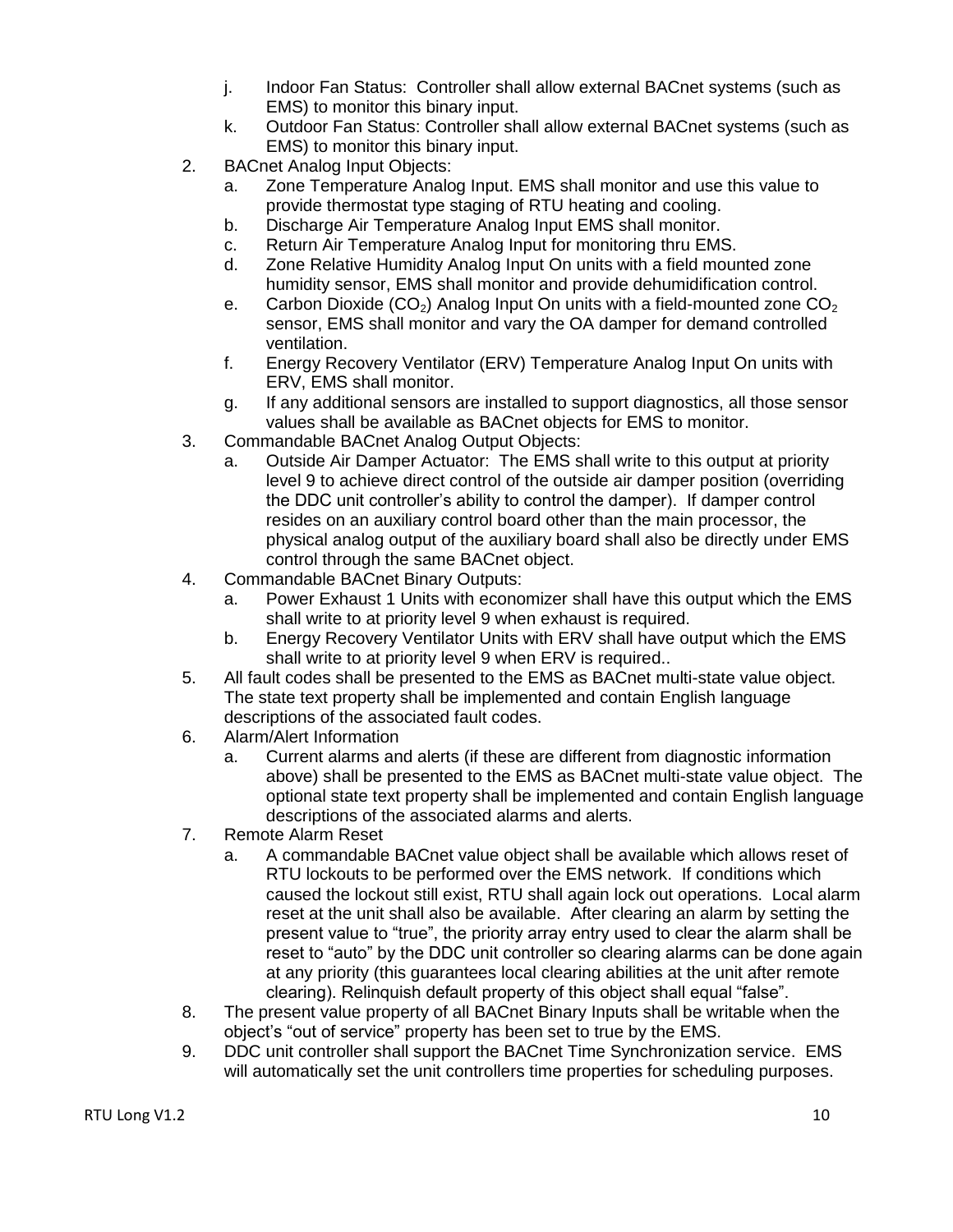- j. Indoor Fan Status: Controller shall allow external BACnet systems (such as EMS) to monitor this binary input.
- k. Outdoor Fan Status: Controller shall allow external BACnet systems (such as EMS) to monitor this binary input.
- 2. BACnet Analog Input Objects:
	- a. Zone Temperature Analog Input. EMS shall monitor and use this value to provide thermostat type staging of RTU heating and cooling.
	- b. Discharge Air Temperature Analog Input EMS shall monitor.
	- c. Return Air Temperature Analog Input for monitoring thru EMS.
	- d. Zone Relative Humidity Analog Input On units with a field mounted zone humidity sensor, EMS shall monitor and provide dehumidification control.
	- e. Carbon Dioxide (CO<sub>2</sub>) Analog Input On units with a field-mounted zone  $CO<sub>2</sub>$ sensor, EMS shall monitor and vary the OA damper for demand controlled ventilation.
	- f. Energy Recovery Ventilator (ERV) Temperature Analog Input On units with ERV, EMS shall monitor.
	- g. If any additional sensors are installed to support diagnostics, all those sensor values shall be available as BACnet objects for EMS to monitor.
- 3. Commandable BACnet Analog Output Objects:
	- a. Outside Air Damper Actuator: The EMS shall write to this output at priority level 9 to achieve direct control of the outside air damper position (overriding the DDC unit controller's ability to control the damper). If damper control resides on an auxiliary control board other than the main processor, the physical analog output of the auxiliary board shall also be directly under EMS control through the same BACnet object.
- 4. Commandable BACnet Binary Outputs:
	- a. Power Exhaust 1 Units with economizer shall have this output which the EMS shall write to at priority level 9 when exhaust is required.
	- b. Energy Recovery Ventilator Units with ERV shall have output which the EMS shall write to at priority level 9 when ERV is required..
- 5. All fault codes shall be presented to the EMS as BACnet multi-state value object. The state text property shall be implemented and contain English language descriptions of the associated fault codes.
- 6. Alarm/Alert Information
	- a. Current alarms and alerts (if these are different from diagnostic information above) shall be presented to the EMS as BACnet multi-state value object. The optional state text property shall be implemented and contain English language descriptions of the associated alarms and alerts.
- 7. Remote Alarm Reset
	- a. A commandable BACnet value object shall be available which allows reset of RTU lockouts to be performed over the EMS network. If conditions which caused the lockout still exist, RTU shall again lock out operations. Local alarm reset at the unit shall also be available. After clearing an alarm by setting the present value to "true", the priority array entry used to clear the alarm shall be reset to "auto" by the DDC unit controller so clearing alarms can be done again at any priority (this guarantees local clearing abilities at the unit after remote clearing). Relinquish default property of this object shall equal "false".
- 8. The present value property of all BACnet Binary Inputs shall be writable when the object's "out of service" property has been set to true by the EMS.
- 9. DDC unit controller shall support the BACnet Time Synchronization service. EMS will automatically set the unit controllers time properties for scheduling purposes.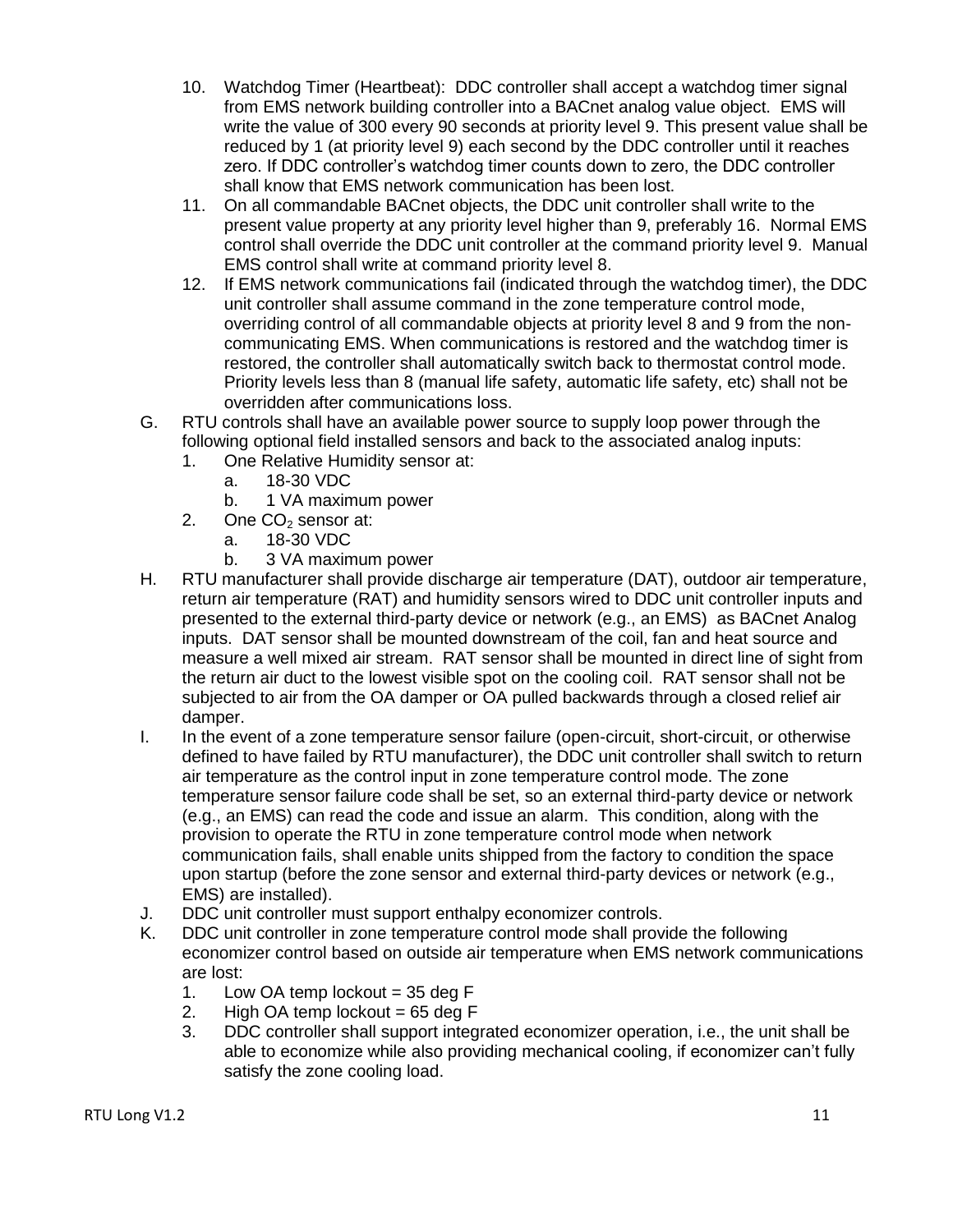- 10. Watchdog Timer (Heartbeat): DDC controller shall accept a watchdog timer signal from EMS network building controller into a BACnet analog value object. EMS will write the value of 300 every 90 seconds at priority level 9. This present value shall be reduced by 1 (at priority level 9) each second by the DDC controller until it reaches zero. If DDC controller's watchdog timer counts down to zero, the DDC controller shall know that EMS network communication has been lost.
- 11. On all commandable BACnet objects, the DDC unit controller shall write to the present value property at any priority level higher than 9, preferably 16. Normal EMS control shall override the DDC unit controller at the command priority level 9. Manual EMS control shall write at command priority level 8.
- 12. If EMS network communications fail (indicated through the watchdog timer), the DDC unit controller shall assume command in the zone temperature control mode, overriding control of all commandable objects at priority level 8 and 9 from the noncommunicating EMS. When communications is restored and the watchdog timer is restored, the controller shall automatically switch back to thermostat control mode. Priority levels less than 8 (manual life safety, automatic life safety, etc) shall not be overridden after communications loss.
- G. RTU controls shall have an available power source to supply loop power through the following optional field installed sensors and back to the associated analog inputs:
	- 1. One Relative Humidity sensor at:
		- a. 18-30 VDC
			- b. 1 VA maximum power
	- 2. One  $CO<sub>2</sub>$  sensor at:
		- a. 18-30 VDC
		- b. 3 VA maximum power
- H. RTU manufacturer shall provide discharge air temperature (DAT), outdoor air temperature, return air temperature (RAT) and humidity sensors wired to DDC unit controller inputs and presented to the external third-party device or network (e.g., an EMS) as BACnet Analog inputs. DAT sensor shall be mounted downstream of the coil, fan and heat source and measure a well mixed air stream. RAT sensor shall be mounted in direct line of sight from the return air duct to the lowest visible spot on the cooling coil. RAT sensor shall not be subjected to air from the OA damper or OA pulled backwards through a closed relief air damper.
- I. In the event of a zone temperature sensor failure (open-circuit, short-circuit, or otherwise defined to have failed by RTU manufacturer), the DDC unit controller shall switch to return air temperature as the control input in zone temperature control mode. The zone temperature sensor failure code shall be set, so an external third-party device or network (e.g., an EMS) can read the code and issue an alarm. This condition, along with the provision to operate the RTU in zone temperature control mode when network communication fails, shall enable units shipped from the factory to condition the space upon startup (before the zone sensor and external third-party devices or network (e.g., EMS) are installed).
- J. DDC unit controller must support enthalpy economizer controls.
- K. DDC unit controller in zone temperature control mode shall provide the following economizer control based on outside air temperature when EMS network communications are lost:
	- 1. Low OA temp lockout  $= 35$  deg F
	- 2. High OA temp lockout  $= 65$  deg F
	- 3. DDC controller shall support integrated economizer operation, i.e., the unit shall be able to economize while also providing mechanical cooling, if economizer can't fully satisfy the zone cooling load.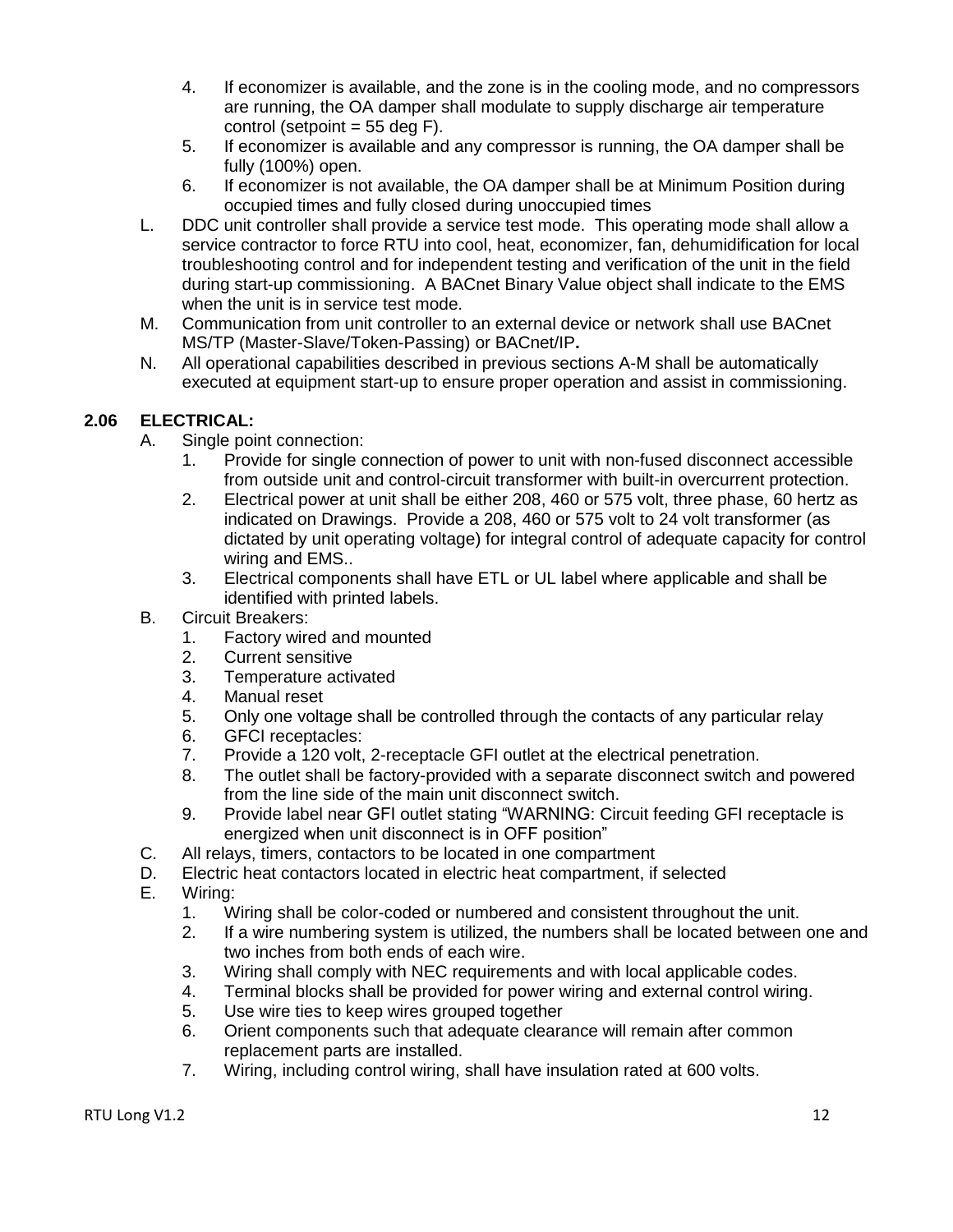- 4. If economizer is available, and the zone is in the cooling mode, and no compressors are running, the OA damper shall modulate to supply discharge air temperature control (setpoint  $= 55$  deg F).
- 5. If economizer is available and any compressor is running, the OA damper shall be fully (100%) open.
- 6. If economizer is not available, the OA damper shall be at Minimum Position during occupied times and fully closed during unoccupied times
- L. DDC unit controller shall provide a service test mode. This operating mode shall allow a service contractor to force RTU into cool, heat, economizer, fan, dehumidification for local troubleshooting control and for independent testing and verification of the unit in the field during start-up commissioning. A BACnet Binary Value object shall indicate to the EMS when the unit is in service test mode.
- M. Communication from unit controller to an external device or network shall use BACnet MS/TP (Master-Slave/Token-Passing) or BACnet/IP**.**
- N. All operational capabilities described in previous sections A-M shall be automatically executed at equipment start-up to ensure proper operation and assist in commissioning.

# <span id="page-11-0"></span>**2.06 ELECTRICAL:**

- A. Single point connection:
	- 1. Provide for single connection of power to unit with non-fused disconnect accessible from outside unit and control-circuit transformer with built-in overcurrent protection.
	- 2. Electrical power at unit shall be either 208, 460 or 575 volt, three phase, 60 hertz as indicated on Drawings. Provide a 208, 460 or 575 volt to 24 volt transformer (as dictated by unit operating voltage) for integral control of adequate capacity for control wiring and EMS..
	- 3. Electrical components shall have ETL or UL label where applicable and shall be identified with printed labels.
- B. Circuit Breakers:
	- 1. Factory wired and mounted
	- 2. Current sensitive
	- 3. Temperature activated
	- 4. Manual reset
	- 5. Only one voltage shall be controlled through the contacts of any particular relay
	- 6. GFCI receptacles:
	- 7. Provide a 120 volt, 2-receptacle GFI outlet at the electrical penetration.
	- 8. The outlet shall be factory-provided with a separate disconnect switch and powered from the line side of the main unit disconnect switch.
	- 9. Provide label near GFI outlet stating "WARNING: Circuit feeding GFI receptacle is energized when unit disconnect is in OFF position"
- C. All relays, timers, contactors to be located in one compartment
- D. Electric heat contactors located in electric heat compartment, if selected
- E. Wiring:
	- 1. Wiring shall be color-coded or numbered and consistent throughout the unit.
	- 2. If a wire numbering system is utilized, the numbers shall be located between one and two inches from both ends of each wire.
	- 3. Wiring shall comply with NEC requirements and with local applicable codes.
	- 4. Terminal blocks shall be provided for power wiring and external control wiring.
	- 5. Use wire ties to keep wires grouped together
	- 6. Orient components such that adequate clearance will remain after common replacement parts are installed.
	- 7. Wiring, including control wiring, shall have insulation rated at 600 volts.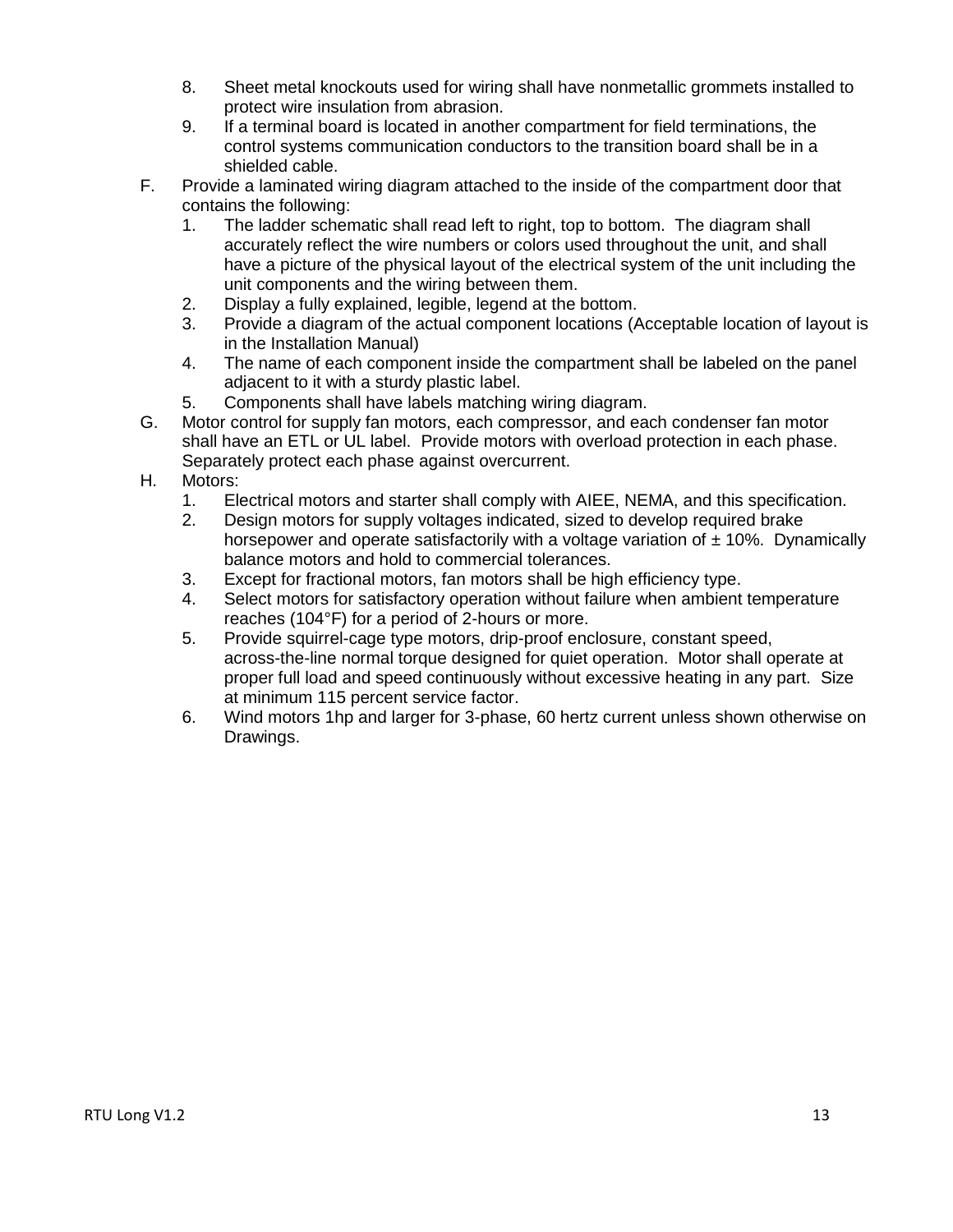- 8. Sheet metal knockouts used for wiring shall have nonmetallic grommets installed to protect wire insulation from abrasion.
- 9. If a terminal board is located in another compartment for field terminations, the control systems communication conductors to the transition board shall be in a shielded cable.
- F. Provide a laminated wiring diagram attached to the inside of the compartment door that contains the following:
	- 1. The ladder schematic shall read left to right, top to bottom. The diagram shall accurately reflect the wire numbers or colors used throughout the unit, and shall have a picture of the physical layout of the electrical system of the unit including the unit components and the wiring between them.
	- 2. Display a fully explained, legible, legend at the bottom.
	- 3. Provide a diagram of the actual component locations (Acceptable location of layout is in the Installation Manual)
	- 4. The name of each component inside the compartment shall be labeled on the panel adjacent to it with a sturdy plastic label.
	- 5. Components shall have labels matching wiring diagram.
- G. Motor control for supply fan motors, each compressor, and each condenser fan motor shall have an ETL or UL label. Provide motors with overload protection in each phase. Separately protect each phase against overcurrent.
- H. Motors:
	- 1. Electrical motors and starter shall comply with AIEE, NEMA, and this specification.
	- 2. Design motors for supply voltages indicated, sized to develop required brake horsepower and operate satisfactorily with a voltage variation of  $\pm$  10%. Dynamically balance motors and hold to commercial tolerances.
	- 3. Except for fractional motors, fan motors shall be high efficiency type.
	- 4. Select motors for satisfactory operation without failure when ambient temperature reaches (104°F) for a period of 2-hours or more.
	- 5. Provide squirrel-cage type motors, drip-proof enclosure, constant speed, across-the-line normal torque designed for quiet operation. Motor shall operate at proper full load and speed continuously without excessive heating in any part. Size at minimum 115 percent service factor.
	- 6. Wind motors 1hp and larger for 3-phase, 60 hertz current unless shown otherwise on Drawings.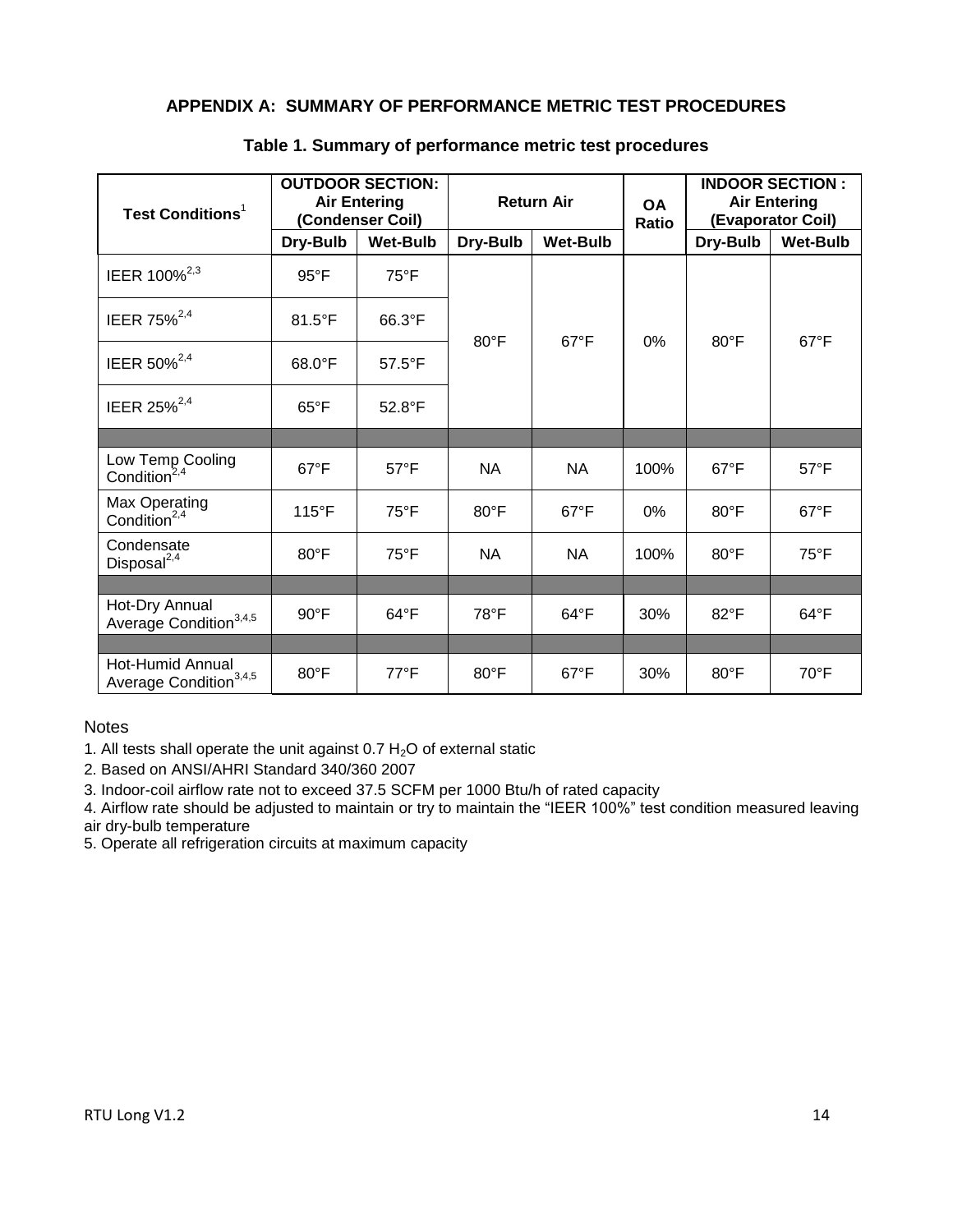# <span id="page-13-0"></span>**APPENDIX A: SUMMARY OF PERFORMANCE METRIC TEST PROCEDURES**

| <b>Test Conditions<sup>1</sup></b>                            | <b>OUTDOOR SECTION:</b><br><b>Air Entering</b><br>(Condenser Coil) |                  | <b>Return Air</b> |                 | <b>OA</b><br><b>Ratio</b> | <b>INDOOR SECTION:</b><br><b>Air Entering</b><br>(Evaporator Coil) |                 |
|---------------------------------------------------------------|--------------------------------------------------------------------|------------------|-------------------|-----------------|---------------------------|--------------------------------------------------------------------|-----------------|
|                                                               | Dry-Bulb                                                           | <b>Wet-Bulb</b>  | Dry-Bulb          | <b>Wet-Bulb</b> |                           | Dry-Bulb                                                           | <b>Wet-Bulb</b> |
| IEER 100% <sup>2,3</sup>                                      | $95^{\circ}$ F                                                     | $75^{\circ}$ F   | $80^{\circ}$ F    | $67^{\circ}F$   | 0%                        | 80°F                                                               | $67^{\circ}F$   |
| IEER 75% <sup>2,4</sup>                                       | $81.5^{\circ}$ F                                                   | 66.3°F           |                   |                 |                           |                                                                    |                 |
| IEER 50% <sup>2,4</sup>                                       | $68.0^{\circ}$ F                                                   | $57.5^{\circ}$ F |                   |                 |                           |                                                                    |                 |
| IEER 25% <sup>2,4</sup>                                       | $65^{\circ}$ F                                                     | 52.8°F           |                   |                 |                           |                                                                    |                 |
|                                                               |                                                                    |                  |                   |                 |                           |                                                                    |                 |
| Low Temp Cooling<br>Condition <sup>2,4</sup>                  | $67^{\circ}$ F                                                     | $57^{\circ}F$    | <b>NA</b>         | <b>NA</b>       | 100%                      | $67^{\circ}F$                                                      | $57^{\circ}$ F  |
| Max Operating<br>Condition <sup>2,4</sup>                     | $115^{\circ}$ F                                                    | $75^{\circ}$ F   | $80^{\circ}$ F    | $67^{\circ}$ F  | 0%                        | $80^{\circ}$ F                                                     | $67^{\circ}$ F  |
| Condensate<br>Disposal <sup>2,4</sup>                         | $80^{\circ}$ F                                                     | $75^{\circ}$ F   | <b>NA</b>         | <b>NA</b>       | 100%                      | $80^{\circ}$ F                                                     | $75^{\circ}F$   |
|                                                               |                                                                    |                  |                   |                 |                           |                                                                    |                 |
| Hot-Dry Annual<br>Average Condition <sup>3,4,5</sup>          | $90^{\circ}$ F                                                     | $64^{\circ}F$    | $78^{\circ}$ F    | $64^{\circ}F$   | 30%                       | $82^{\circ}$ F                                                     | $64^{\circ}F$   |
|                                                               |                                                                    |                  |                   |                 |                           |                                                                    |                 |
| <b>Hot-Humid Annual</b><br>Average Condition <sup>3,4,5</sup> | $80^{\circ}$ F                                                     | $77^{\circ}$ F   | $80^{\circ}$ F    | $67^{\circ}$ F  | 30%                       | $80^{\circ}$ F                                                     | $70^{\circ}$ F  |

#### **Table 1. Summary of performance metric test procedures**

#### **Notes**

1. All tests shall operate the unit against  $0.7 H<sub>2</sub>O$  of external static

2. Based on ANSI/AHRI Standard 340/360 2007

3. Indoor-coil airflow rate not to exceed 37.5 SCFM per 1000 Btu/h of rated capacity

4. Airflow rate should be adjusted to maintain or try to maintain the "IEER 100%" test condition measured leaving air dry-bulb temperature

5. Operate all refrigeration circuits at maximum capacity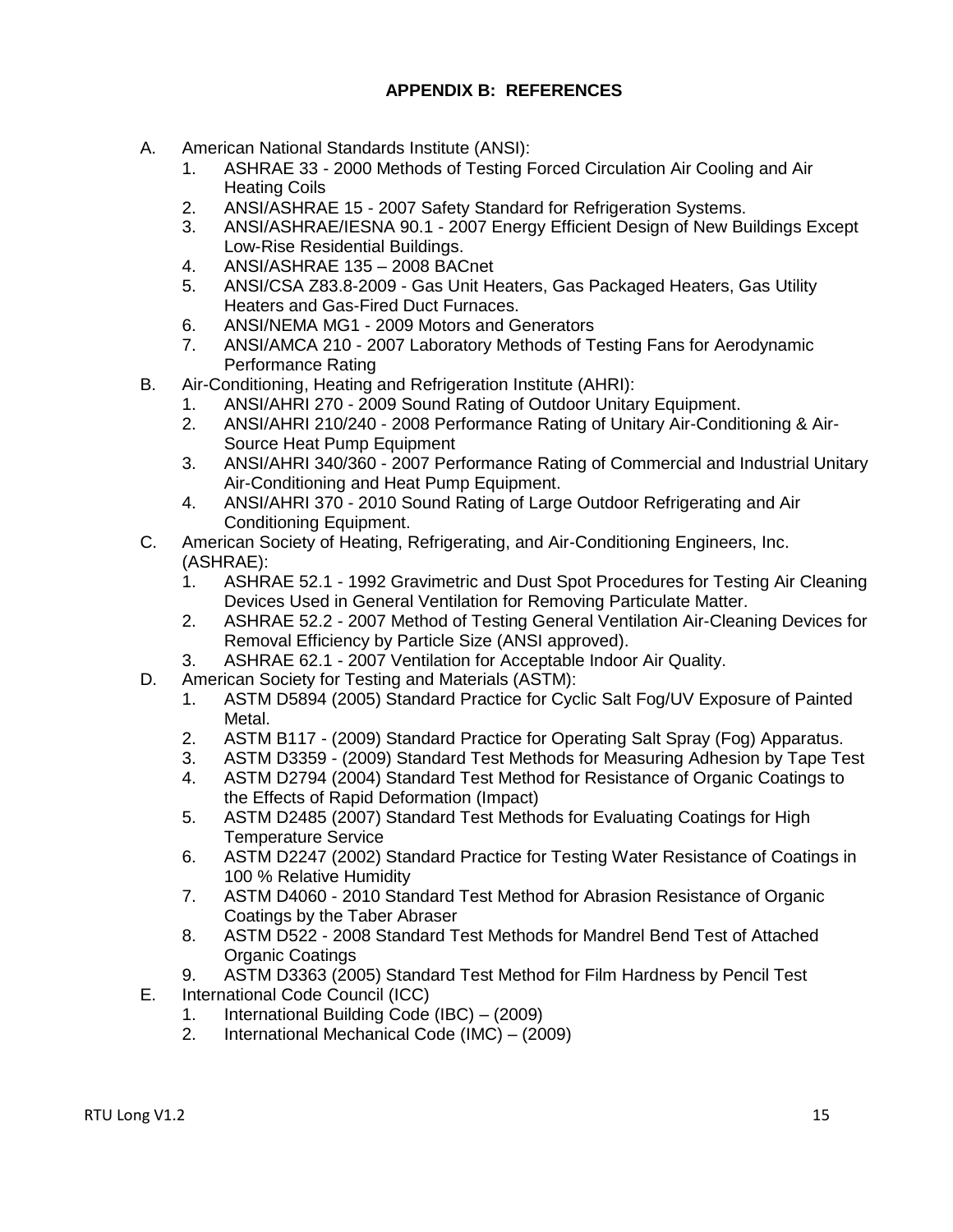- <span id="page-14-0"></span>A. American National Standards Institute (ANSI):
	- 1. ASHRAE 33 2000 Methods of Testing Forced Circulation Air Cooling and Air Heating Coils
	- 2. ANSI/ASHRAE 15 2007 Safety Standard for Refrigeration Systems.
	- 3. ANSI/ASHRAE/IESNA 90.1 2007 Energy Efficient Design of New Buildings Except Low-Rise Residential Buildings.
	- 4. ANSI/ASHRAE 135 2008 BACnet
	- 5. ANSI/CSA Z83.8-2009 Gas Unit Heaters, Gas Packaged Heaters, Gas Utility Heaters and Gas-Fired Duct Furnaces.
	- 6. ANSI/NEMA MG1 2009 Motors and Generators
	- 7. ANSI/AMCA 210 2007 Laboratory Methods of Testing Fans for Aerodynamic Performance Rating
- B. Air-Conditioning, Heating and Refrigeration Institute (AHRI):
	- 1. ANSI/AHRI 270 2009 Sound Rating of Outdoor Unitary Equipment.
	- 2. ANSI/AHRI 210/240 2008 Performance Rating of Unitary Air-Conditioning & Air-Source Heat Pump Equipment
	- 3. ANSI/AHRI 340/360 2007 Performance Rating of Commercial and Industrial Unitary Air-Conditioning and Heat Pump Equipment.
	- 4. ANSI/AHRI 370 2010 Sound Rating of Large Outdoor Refrigerating and Air Conditioning Equipment.
- C. American Society of Heating, Refrigerating, and Air-Conditioning Engineers, Inc. (ASHRAE):
	- 1. ASHRAE 52.1 1992 Gravimetric and Dust Spot Procedures for Testing Air Cleaning Devices Used in General Ventilation for Removing Particulate Matter.
	- 2. ASHRAE 52.2 2007 Method of Testing General Ventilation Air-Cleaning Devices for Removal Efficiency by Particle Size (ANSI approved).
	- 3. ASHRAE 62.1 2007 Ventilation for Acceptable Indoor Air Quality.
- D. American Society for Testing and Materials (ASTM):
	- 1. ASTM D5894 (2005) Standard Practice for Cyclic Salt Fog/UV Exposure of Painted Metal.
	- 2. ASTM B117 (2009) Standard Practice for Operating Salt Spray (Fog) Apparatus.
	- 3. ASTM D3359 (2009) Standard Test Methods for Measuring Adhesion by Tape Test
	- 4. ASTM D2794 (2004) Standard Test Method for Resistance of Organic Coatings to the Effects of Rapid Deformation (Impact)
	- 5. ASTM D2485 (2007) Standard Test Methods for Evaluating Coatings for High Temperature Service
	- 6. ASTM D2247 (2002) Standard Practice for Testing Water Resistance of Coatings in 100 % Relative Humidity
	- 7. ASTM D4060 2010 Standard Test Method for Abrasion Resistance of Organic Coatings by the Taber Abraser
	- 8. ASTM D522 2008 Standard Test Methods for Mandrel Bend Test of Attached Organic Coatings
	- 9. ASTM D3363 (2005) Standard Test Method for Film Hardness by Pencil Test
- E. International Code Council (ICC)
	- 1. International Building Code (IBC) (2009)
	- 2. International Mechanical Code (IMC) (2009)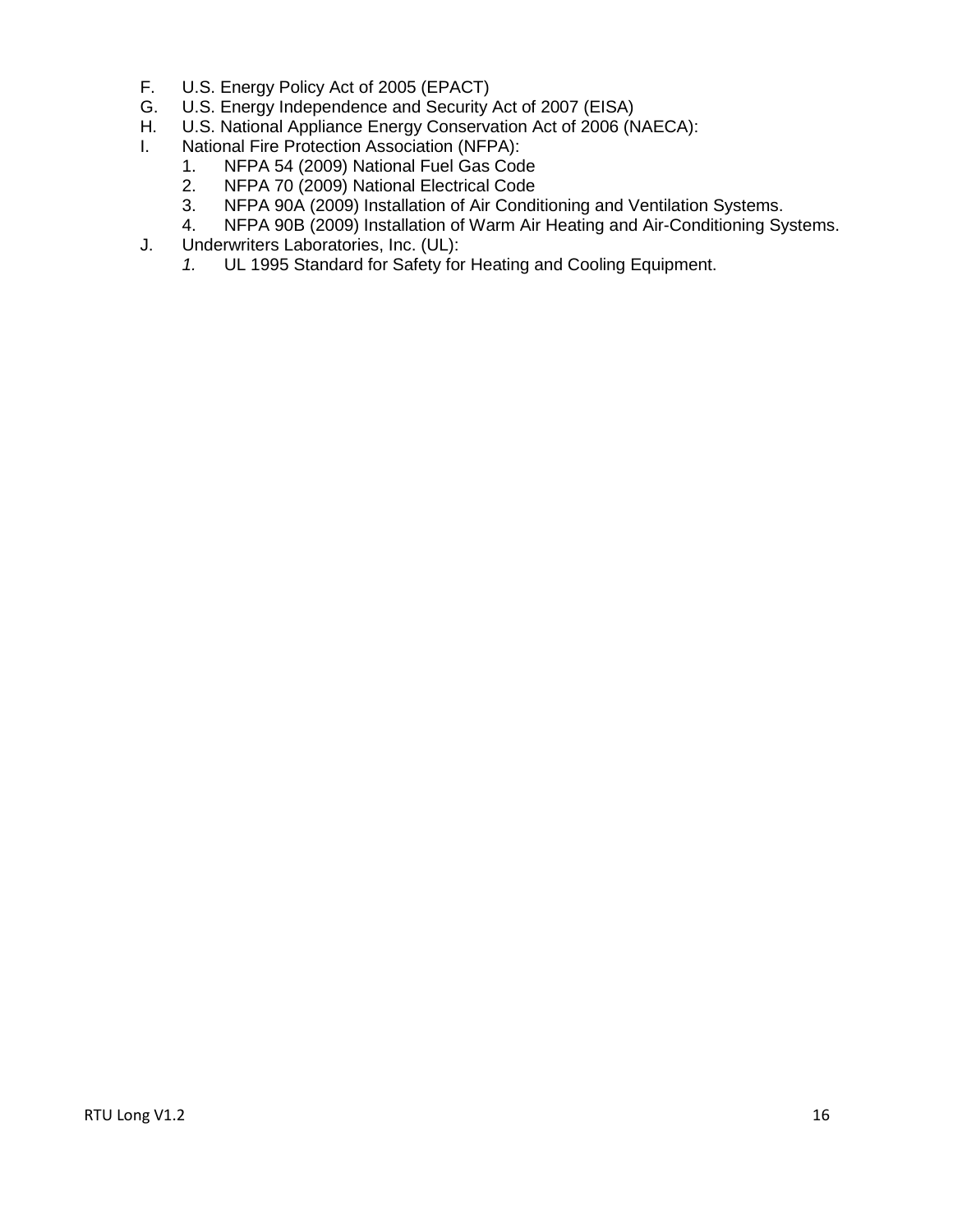- F. U.S. Energy Policy Act of 2005 (EPACT)<br>G. U.S. Energy Independence and Security
- U.S. Energy Independence and Security Act of 2007 (EISA)
- H. U.S. National Appliance Energy Conservation Act of 2006 (NAECA):
- I. National Fire Protection Association (NFPA):
	- 1. NFPA 54 (2009) National Fuel Gas Code
	- 2. NFPA 70 (2009) National Electrical Code<br>3. NFPA 90A (2009) Installation of Air Condi
	- NFPA 90A (2009) Installation of Air Conditioning and Ventilation Systems.
	- 4. NFPA 90B (2009) Installation of Warm Air Heating and Air-Conditioning Systems.
- J. Underwriters Laboratories, Inc. (UL):
	- *1.* UL 1995 Standard for Safety for Heating and Cooling Equipment.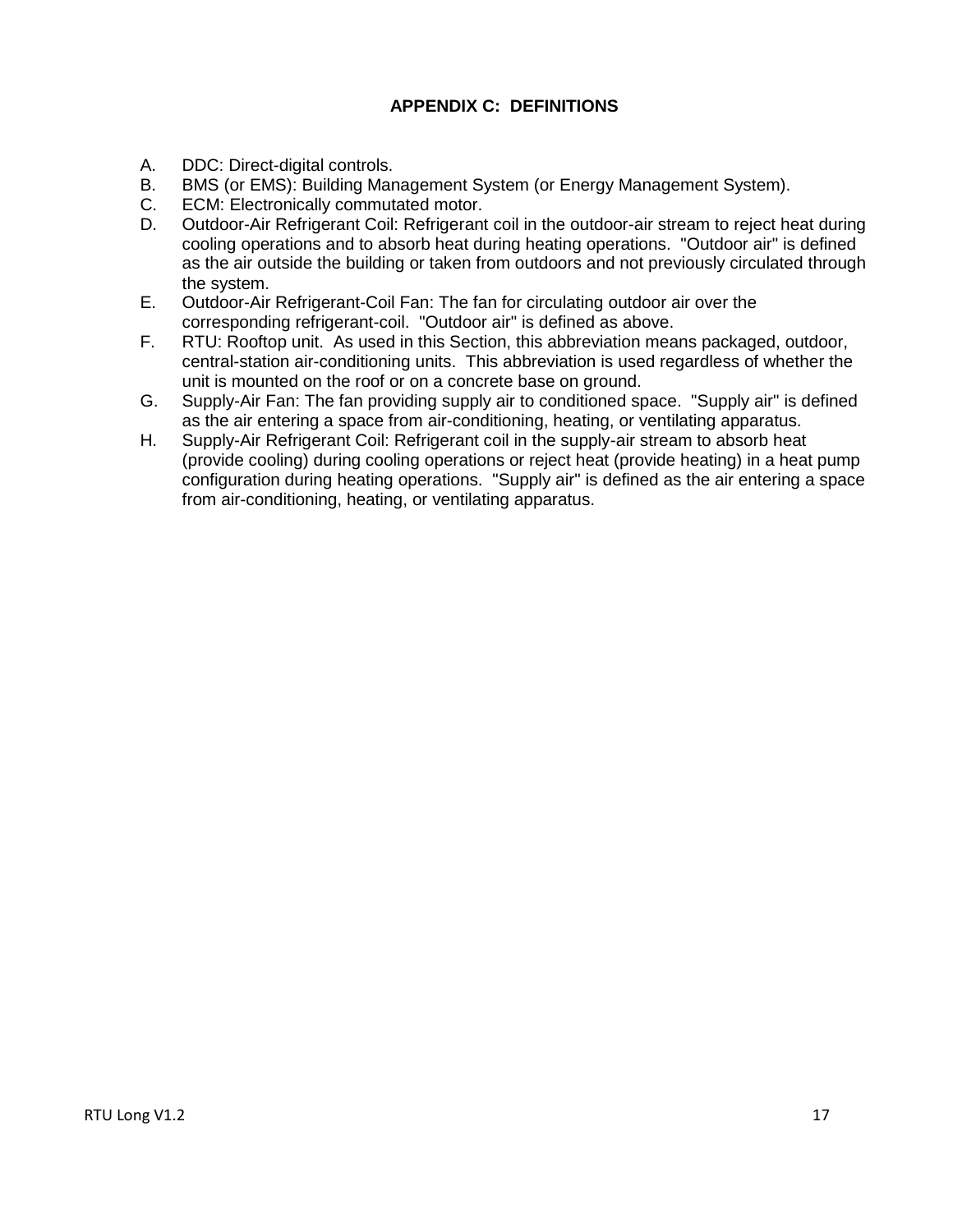# **APPENDIX C: DEFINITIONS**

- <span id="page-16-0"></span>A. DDC: Direct-digital controls.
- B. BMS (or EMS): Building Management System (or Energy Management System).
- C. ECM: Electronically commutated motor.
- D. Outdoor-Air Refrigerant Coil: Refrigerant coil in the outdoor-air stream to reject heat during cooling operations and to absorb heat during heating operations. "Outdoor air" is defined as the air outside the building or taken from outdoors and not previously circulated through the system.
- E. Outdoor-Air Refrigerant-Coil Fan: The fan for circulating outdoor air over the corresponding refrigerant-coil. "Outdoor air" is defined as above.
- F. RTU: Rooftop unit. As used in this Section, this abbreviation means packaged, outdoor, central-station air-conditioning units. This abbreviation is used regardless of whether the unit is mounted on the roof or on a concrete base on ground.
- G. Supply-Air Fan: The fan providing supply air to conditioned space. "Supply air" is defined as the air entering a space from air-conditioning, heating, or ventilating apparatus.
- H. Supply-Air Refrigerant Coil: Refrigerant coil in the supply-air stream to absorb heat (provide cooling) during cooling operations or reject heat (provide heating) in a heat pump configuration during heating operations. "Supply air" is defined as the air entering a space from air-conditioning, heating, or ventilating apparatus.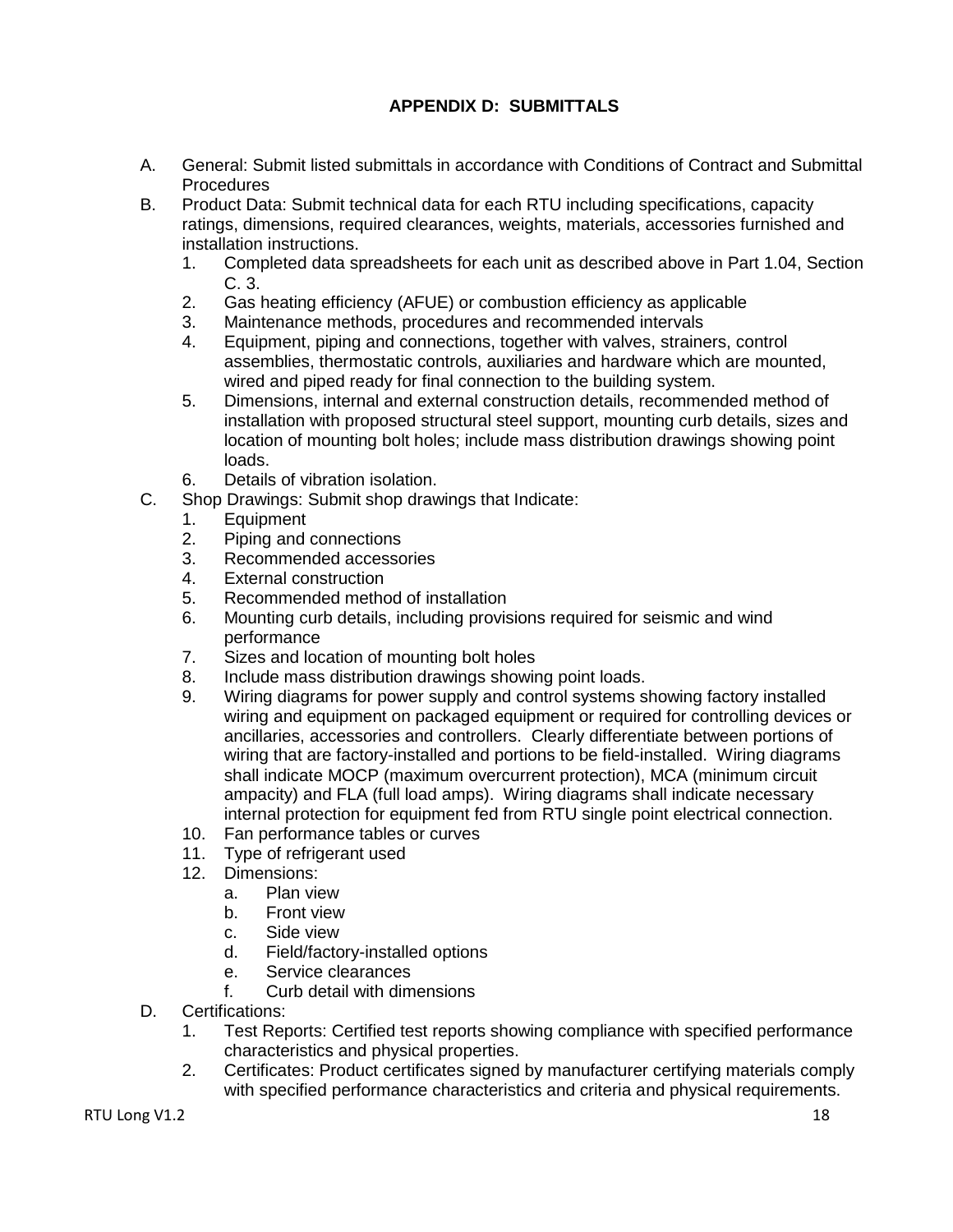# **APPENDIX D: SUBMITTALS**

- <span id="page-17-0"></span>A. General: Submit listed submittals in accordance with Conditions of Contract and Submittal Procedures
- B. Product Data: Submit technical data for each RTU including specifications, capacity ratings, dimensions, required clearances, weights, materials, accessories furnished and installation instructions.
	- 1. Completed data spreadsheets for each unit as described above in Part 1.04, Section C. 3.
	- 2. Gas heating efficiency (AFUE) or combustion efficiency as applicable
	- 3. Maintenance methods, procedures and recommended intervals
	- 4. Equipment, piping and connections, together with valves, strainers, control assemblies, thermostatic controls, auxiliaries and hardware which are mounted, wired and piped ready for final connection to the building system.
	- 5. Dimensions, internal and external construction details, recommended method of installation with proposed structural steel support, mounting curb details, sizes and location of mounting bolt holes; include mass distribution drawings showing point loads.
	- 6. Details of vibration isolation.
- C. Shop Drawings: Submit shop drawings that Indicate:
	- 1. Equipment
	- 2. Piping and connections
	- 3. Recommended accessories
	- 4. External construction
	- 5. Recommended method of installation
	- 6. Mounting curb details, including provisions required for seismic and wind performance
	- 7. Sizes and location of mounting bolt holes
	- 8. Include mass distribution drawings showing point loads.
	- 9. Wiring diagrams for power supply and control systems showing factory installed wiring and equipment on packaged equipment or required for controlling devices or ancillaries, accessories and controllers. Clearly differentiate between portions of wiring that are factory-installed and portions to be field-installed. Wiring diagrams shall indicate MOCP (maximum overcurrent protection), MCA (minimum circuit ampacity) and FLA (full load amps). Wiring diagrams shall indicate necessary internal protection for equipment fed from RTU single point electrical connection.
	- 10. Fan performance tables or curves
	- 11. Type of refrigerant used
	- 12. Dimensions:
		- a. Plan view
		- b. Front view
		- c. Side view
		- d. Field/factory-installed options
		- e. Service clearances
		- f. Curb detail with dimensions
- D. Certifications:
	- 1. Test Reports: Certified test reports showing compliance with specified performance characteristics and physical properties.
	- 2. Certificates: Product certificates signed by manufacturer certifying materials comply with specified performance characteristics and criteria and physical requirements.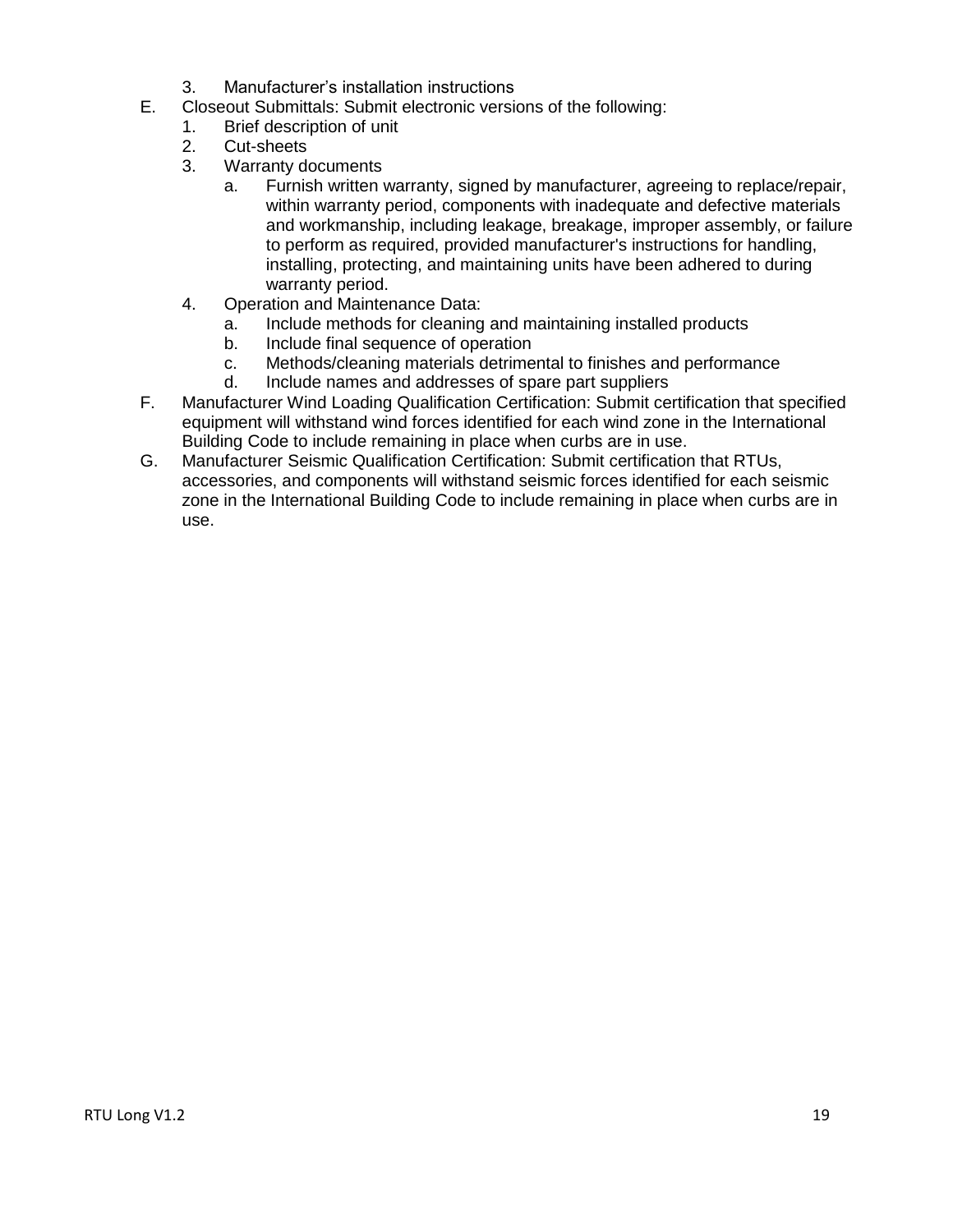- 3. Manufacturer's installation instructions
- E. Closeout Submittals: Submit electronic versions of the following:
	- 1. Brief description of unit
	- 2. Cut-sheets
	- 3. Warranty documents
		- a. Furnish written warranty, signed by manufacturer, agreeing to replace/repair, within warranty period, components with inadequate and defective materials and workmanship, including leakage, breakage, improper assembly, or failure to perform as required, provided manufacturer's instructions for handling, installing, protecting, and maintaining units have been adhered to during warranty period.
	- 4. Operation and Maintenance Data:
		- a. Include methods for cleaning and maintaining installed products
		- b. Include final sequence of operation
		- c. Methods/cleaning materials detrimental to finishes and performance
		- d. Include names and addresses of spare part suppliers
- F. Manufacturer Wind Loading Qualification Certification: Submit certification that specified equipment will withstand wind forces identified for each wind zone in the International Building Code to include remaining in place when curbs are in use.
- G. Manufacturer Seismic Qualification Certification: Submit certification that RTUs, accessories, and components will withstand seismic forces identified for each seismic zone in the International Building Code to include remaining in place when curbs are in use.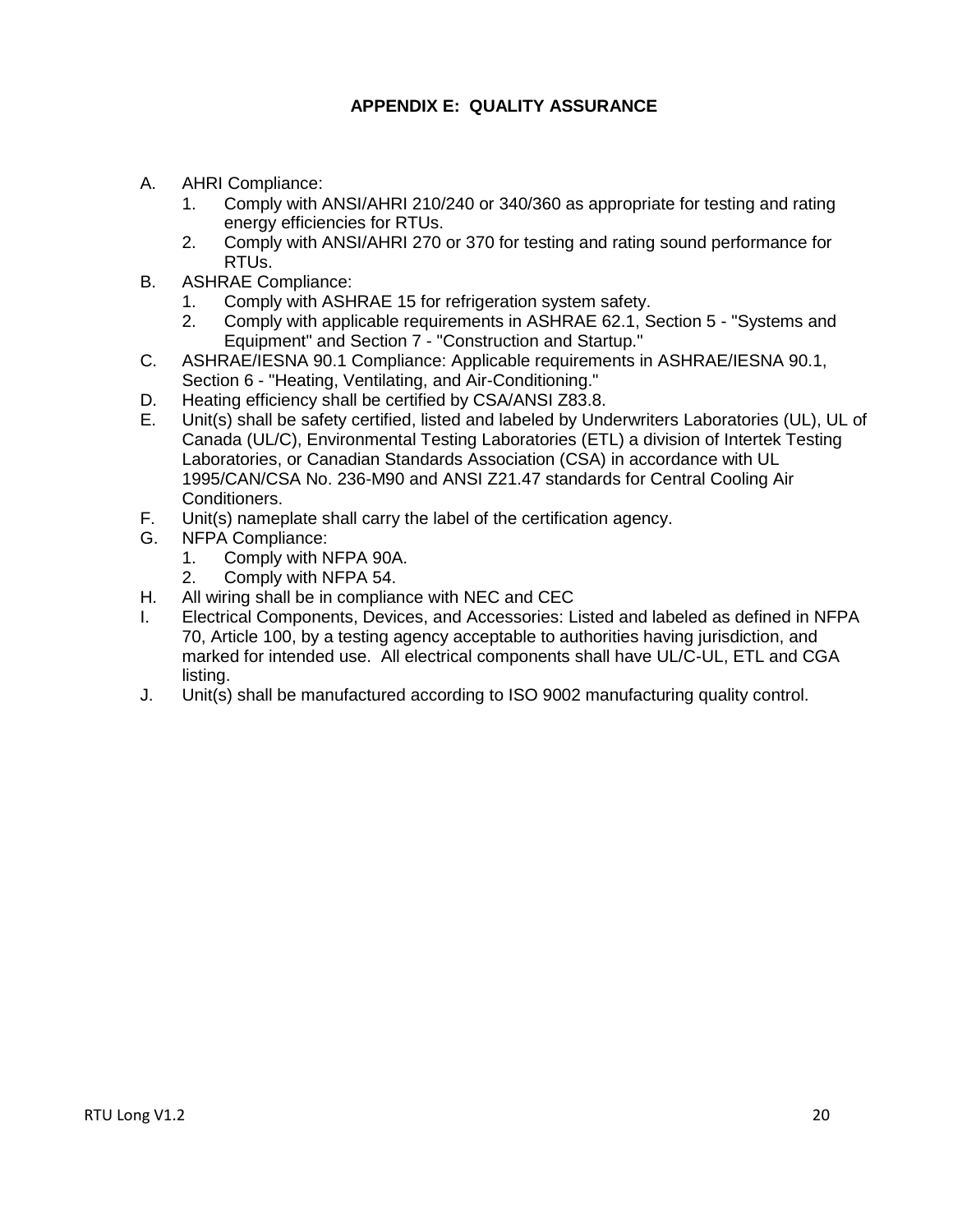# **APPENDIX E: QUALITY ASSURANCE**

- <span id="page-19-0"></span>A. AHRI Compliance:
	- 1. Comply with ANSI/AHRI 210/240 or 340/360 as appropriate for testing and rating energy efficiencies for RTUs.
	- 2. Comply with ANSI/AHRI 270 or 370 for testing and rating sound performance for RTUs.
- B. ASHRAE Compliance:
	- 1. Comply with ASHRAE 15 for refrigeration system safety.
	- 2. Comply with applicable requirements in ASHRAE 62.1, Section 5 "Systems and Equipment" and Section 7 - "Construction and Startup."
- C. ASHRAE/IESNA 90.1 Compliance: Applicable requirements in ASHRAE/IESNA 90.1, Section 6 - "Heating, Ventilating, and Air-Conditioning."
- D. Heating efficiency shall be certified by CSA/ANSI Z83.8.
- E. Unit(s) shall be safety certified, listed and labeled by Underwriters Laboratories (UL), UL of Canada (UL/C), Environmental Testing Laboratories (ETL) a division of Intertek Testing Laboratories, or Canadian Standards Association (CSA) in accordance with UL 1995/CAN/CSA No. 236-M90 and ANSI Z21.47 standards for Central Cooling Air Conditioners.
- F. Unit(s) nameplate shall carry the label of the certification agency.
- G. NFPA Compliance:
	- 1. Comply with NFPA 90A.
	- 2. Comply with NFPA 54.
- H. All wiring shall be in compliance with NEC and CEC
- I. Electrical Components, Devices, and Accessories: Listed and labeled as defined in NFPA 70, Article 100, by a testing agency acceptable to authorities having jurisdiction, and marked for intended use. All electrical components shall have UL/C-UL, ETL and CGA listing.
- J. Unit(s) shall be manufactured according to ISO 9002 manufacturing quality control.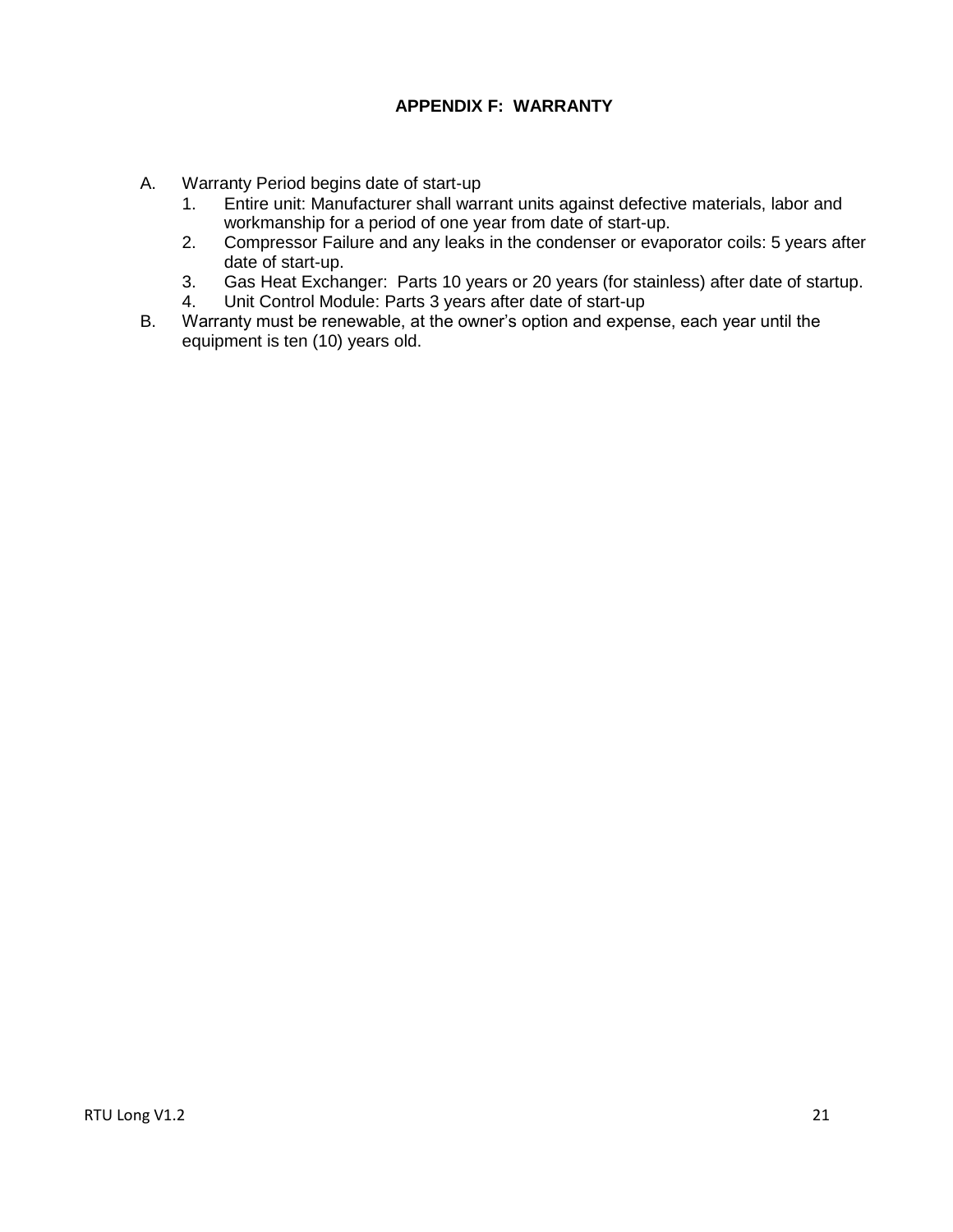### **APPENDIX F: WARRANTY**

- <span id="page-20-0"></span>A. Warranty Period begins date of start-up
	- 1. Entire unit: Manufacturer shall warrant units against defective materials, labor and workmanship for a period of one year from date of start-up.
	- 2. Compressor Failure and any leaks in the condenser or evaporator coils: 5 years after date of start-up.
	- 3. Gas Heat Exchanger: Parts 10 years or 20 years (for stainless) after date of startup.
	- 4. Unit Control Module: Parts 3 years after date of start-up
- B. Warranty must be renewable, at the owner's option and expense, each year until the equipment is ten (10) years old.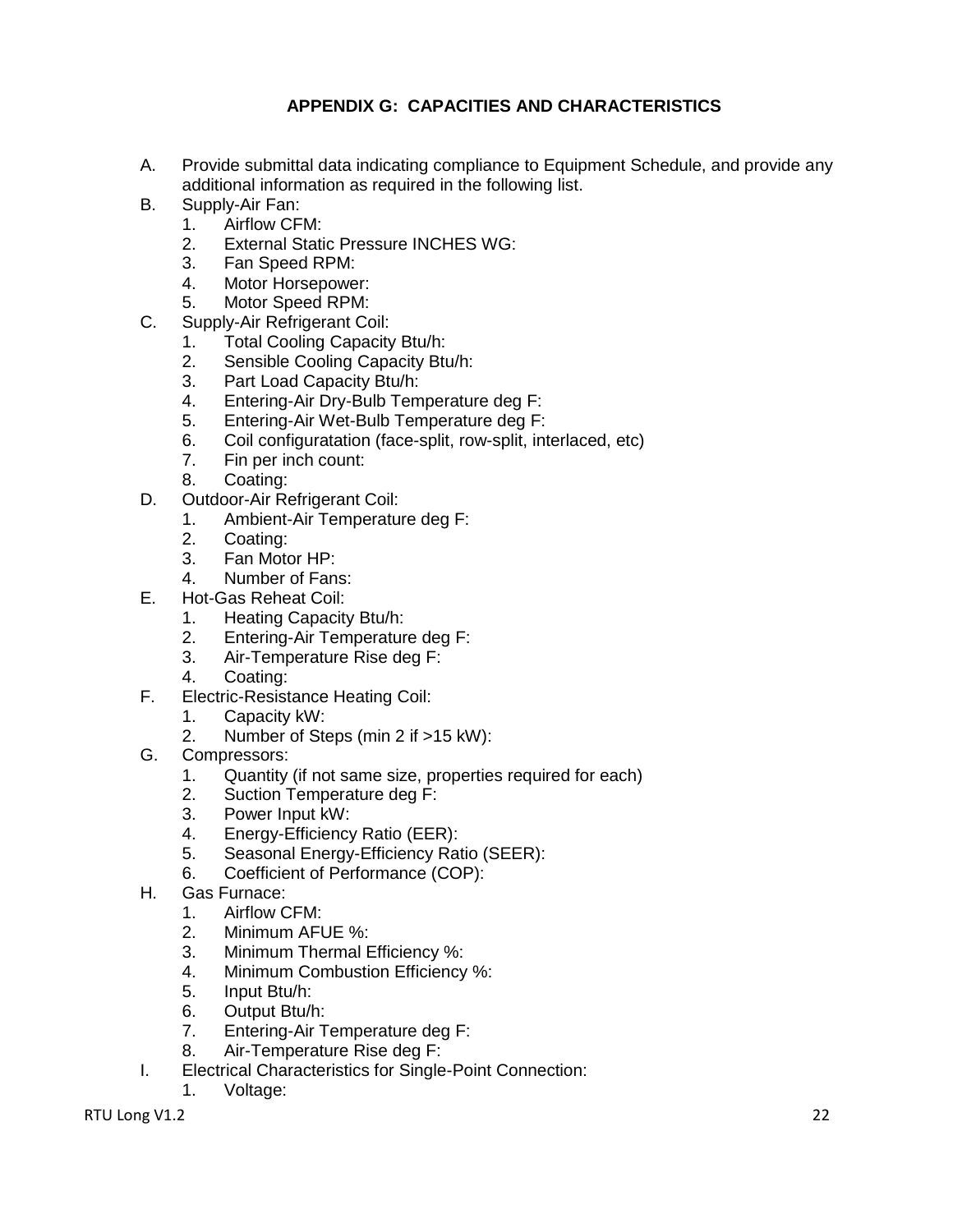# **APPENDIX G: CAPACITIES AND CHARACTERISTICS**

- <span id="page-21-0"></span>A. Provide submittal data indicating compliance to Equipment Schedule, and provide any additional information as required in the following list.
- B. Supply-Air Fan:
	- 1. Airflow CFM:
	- 2. External Static Pressure INCHES WG:
	- 3. Fan Speed RPM:
	- 4. Motor Horsepower:
	- 5. Motor Speed RPM:
- C. Supply-Air Refrigerant Coil:
	- 1. Total Cooling Capacity Btu/h:
	- 2. Sensible Cooling Capacity Btu/h:
	- 3. Part Load Capacity Btu/h:
	- 4. Entering-Air Dry-Bulb Temperature deg F:
	- 5. Entering-Air Wet-Bulb Temperature deg F:
	- 6. Coil configuratation (face-split, row-split, interlaced, etc)
	- 7. Fin per inch count:
	- 8. Coating:
- D. Outdoor-Air Refrigerant Coil:
	- 1. Ambient-Air Temperature deg F:
	- 2. Coating:
	- 3. Fan Motor HP:
	- 4. Number of Fans:
- E. Hot-Gas Reheat Coil:
	- 1. Heating Capacity Btu/h:
	- 2. Entering-Air Temperature deg F:
	- 3. Air-Temperature Rise deg F:
	- 4. Coating:
- F. Electric-Resistance Heating Coil:
	- 1. Capacity kW:
		- 2. Number of Steps (min 2 if >15 kW):
- G. Compressors:
	- 1. Quantity (if not same size, properties required for each)
	- 2. Suction Temperature deg F:
	- 3. Power Input kW:
	- 4. Energy-Efficiency Ratio (EER):
	- 5. Seasonal Energy-Efficiency Ratio (SEER):
	- 6. Coefficient of Performance (COP):
- H. Gas Furnace:
	- 1. Airflow CFM:
	- 2. Minimum AFUE %:
	- 3. Minimum Thermal Efficiency %:<br>4. Minimum Combustion Efficiency
	- Minimum Combustion Efficiency %:
	- 5. Input Btu/h:
	- 6. Output Btu/h:
	- 7. Entering-Air Temperature deg F:
	- 8. Air-Temperature Rise deg F:
- I. Electrical Characteristics for Single-Point Connection:
	- 1. Voltage: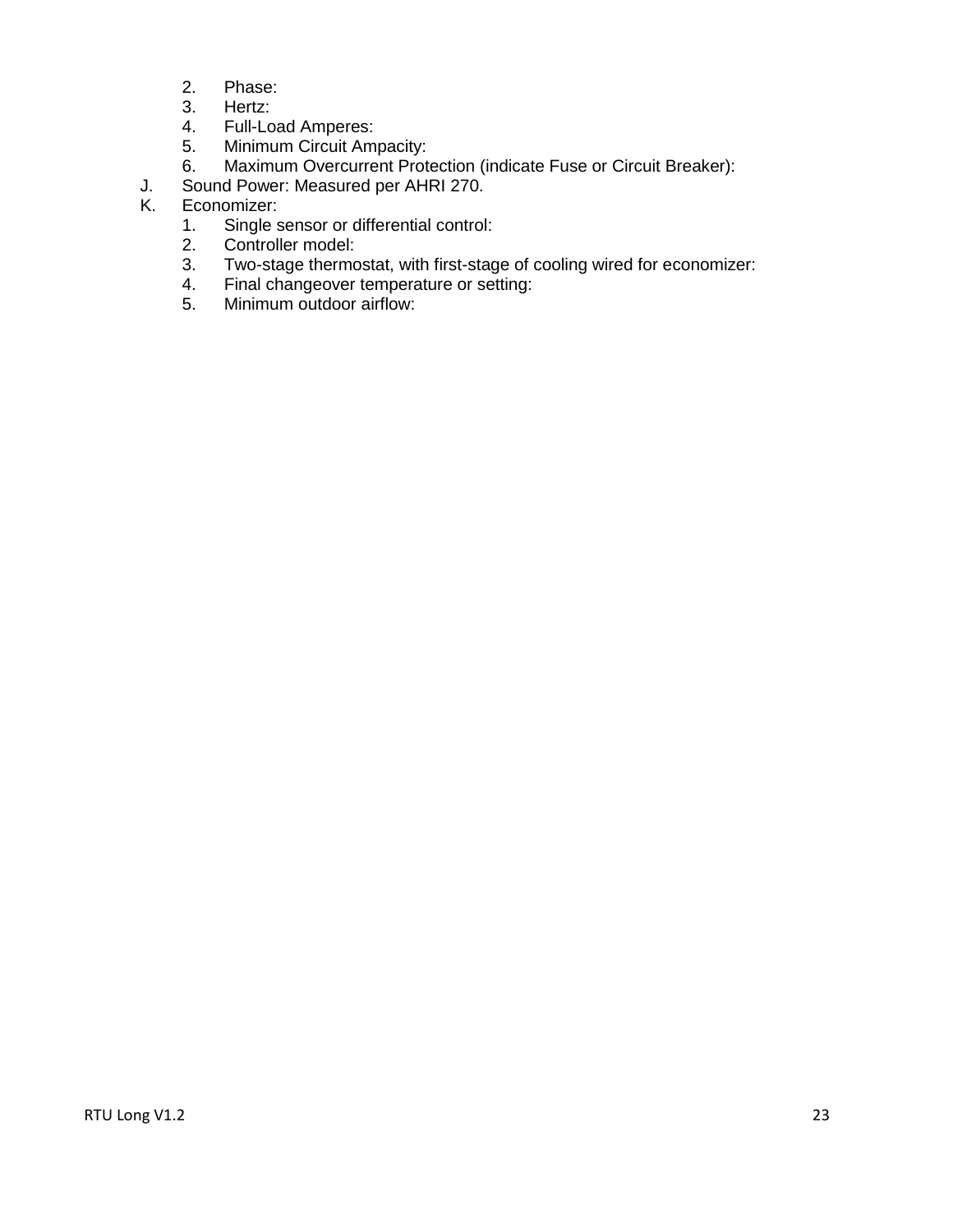- 2. Phase:
- 3. Hertz:
- 4. Full-Load Amperes:
- 5. Minimum Circuit Ampacity:
- 6. Maximum Overcurrent Protection (indicate Fuse or Circuit Breaker):
- J. Sound Power: Measured per AHRI 270.<br>K. Economizer:
- Economizer:
	- 1. Single sensor or differential control:
	- 2. Controller model:
	- 3. Two-stage thermostat, with first-stage of cooling wired for economizer:
	- 4. Final changeover temperature or setting:<br>5. Minimum outdoor airflow:
	- Minimum outdoor airflow: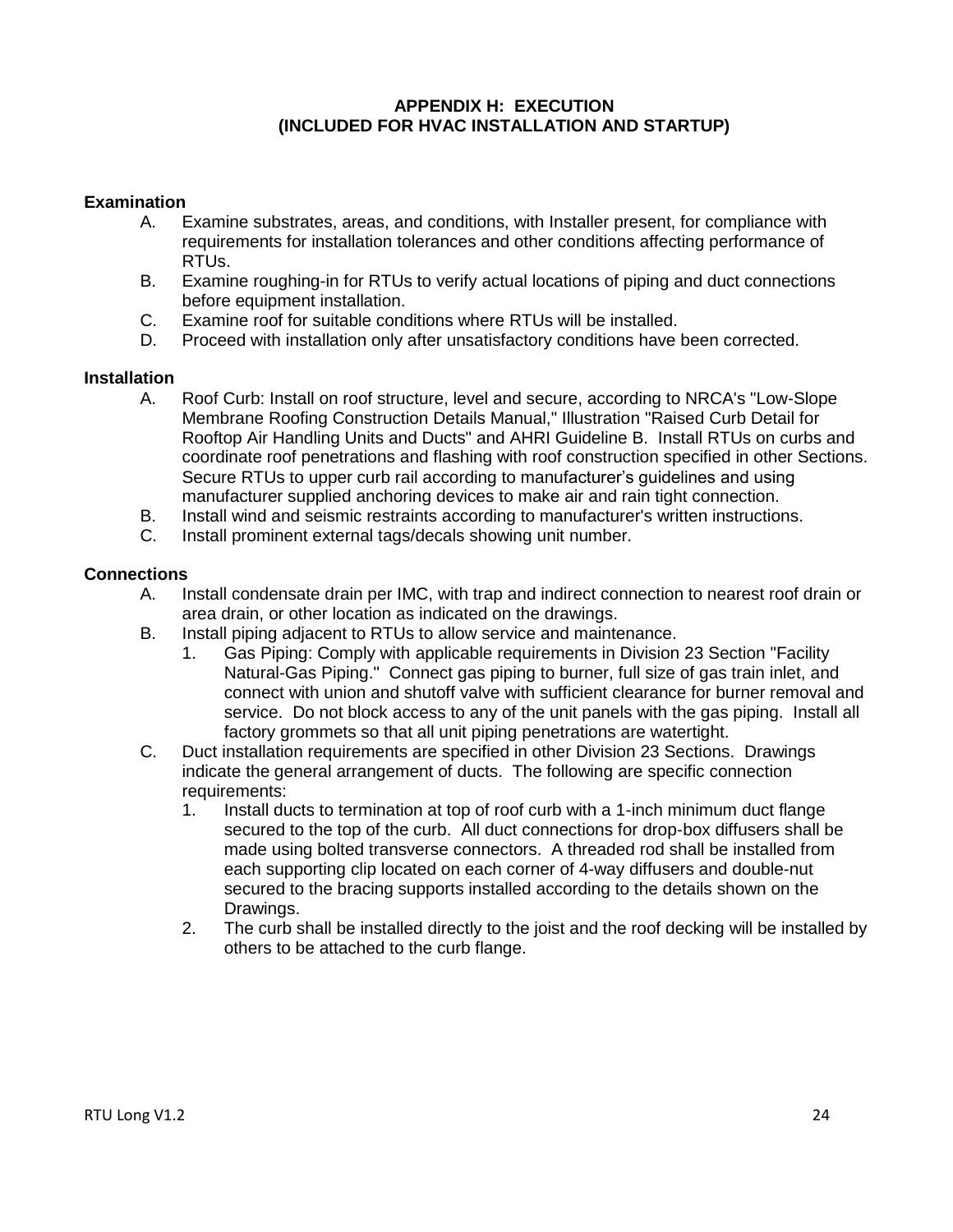#### **APPENDIX H: EXECUTION (INCLUDED FOR HVAC INSTALLATION AND STARTUP)**

#### <span id="page-23-0"></span>**Examination**

- A. Examine substrates, areas, and conditions, with Installer present, for compliance with requirements for installation tolerances and other conditions affecting performance of RTUs.
- B. Examine roughing-in for RTUs to verify actual locations of piping and duct connections before equipment installation.
- C. Examine roof for suitable conditions where RTUs will be installed.
- D. Proceed with installation only after unsatisfactory conditions have been corrected.

#### **Installation**

- A. Roof Curb: Install on roof structure, level and secure, according to NRCA's "Low-Slope Membrane Roofing Construction Details Manual," Illustration "Raised Curb Detail for Rooftop Air Handling Units and Ducts" and AHRI Guideline B. Install RTUs on curbs and coordinate roof penetrations and flashing with roof construction specified in other Sections. Secure RTUs to upper curb rail according to manufacturer's guidelines and using manufacturer supplied anchoring devices to make air and rain tight connection.
- B. Install wind and seismic restraints according to manufacturer's written instructions.
- C. Install prominent external tags/decals showing unit number.

#### **Connections**

- A. Install condensate drain per IMC, with trap and indirect connection to nearest roof drain or area drain, or other location as indicated on the drawings.
- B. Install piping adjacent to RTUs to allow service and maintenance.
	- 1. Gas Piping: Comply with applicable requirements in Division 23 Section "Facility Natural-Gas Piping." Connect gas piping to burner, full size of gas train inlet, and connect with union and shutoff valve with sufficient clearance for burner removal and service. Do not block access to any of the unit panels with the gas piping. Install all factory grommets so that all unit piping penetrations are watertight.
- C. Duct installation requirements are specified in other Division 23 Sections. Drawings indicate the general arrangement of ducts. The following are specific connection requirements:
	- 1. Install ducts to termination at top of roof curb with a 1-inch minimum duct flange secured to the top of the curb. All duct connections for drop-box diffusers shall be made using bolted transverse connectors. A threaded rod shall be installed from each supporting clip located on each corner of 4-way diffusers and double-nut secured to the bracing supports installed according to the details shown on the Drawings.
	- 2. The curb shall be installed directly to the joist and the roof decking will be installed by others to be attached to the curb flange.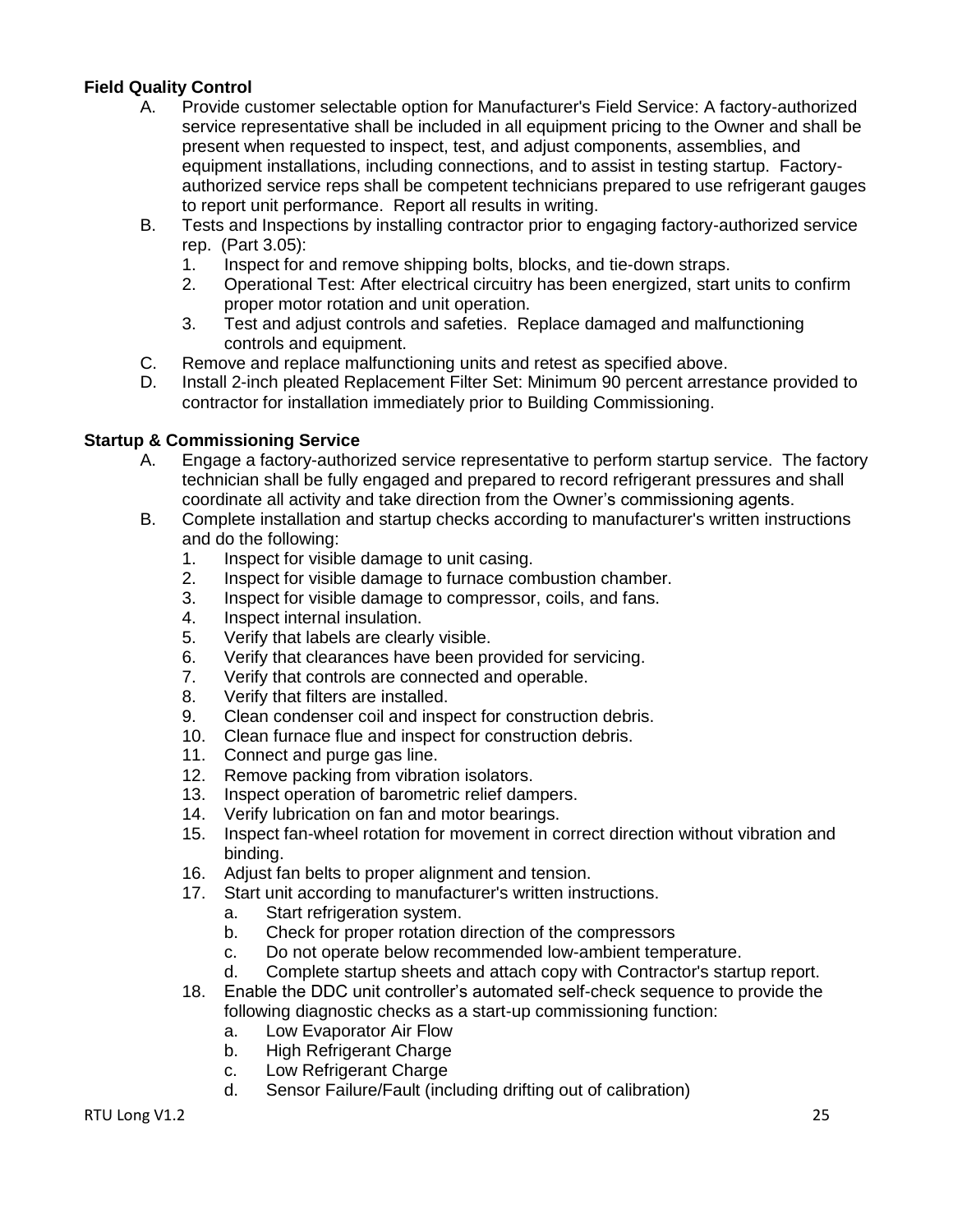# **Field Quality Control**

- A. Provide customer selectable option for Manufacturer's Field Service: A factory-authorized service representative shall be included in all equipment pricing to the Owner and shall be present when requested to inspect, test, and adjust components, assemblies, and equipment installations, including connections, and to assist in testing startup. Factoryauthorized service reps shall be competent technicians prepared to use refrigerant gauges to report unit performance. Report all results in writing.
- B. Tests and Inspections by installing contractor prior to engaging factory-authorized service rep. (Part 3.05):
	- 1. Inspect for and remove shipping bolts, blocks, and tie-down straps.
	- 2. Operational Test: After electrical circuitry has been energized, start units to confirm proper motor rotation and unit operation.
	- 3. Test and adjust controls and safeties. Replace damaged and malfunctioning controls and equipment.
- C. Remove and replace malfunctioning units and retest as specified above.
- D. Install 2-inch pleated Replacement Filter Set: Minimum 90 percent arrestance provided to contractor for installation immediately prior to Building Commissioning.

#### **Startup & Commissioning Service**

- A. Engage a factory-authorized service representative to perform startup service. The factory technician shall be fully engaged and prepared to record refrigerant pressures and shall coordinate all activity and take direction from the Owner's commissioning agents.
- B. Complete installation and startup checks according to manufacturer's written instructions and do the following:
	- 1. Inspect for visible damage to unit casing.
	- 2. Inspect for visible damage to furnace combustion chamber.
	- 3. Inspect for visible damage to compressor, coils, and fans.
	- 4. Inspect internal insulation.
	- 5. Verify that labels are clearly visible.
	- 6. Verify that clearances have been provided for servicing.
	- 7. Verify that controls are connected and operable.
	- 8. Verify that filters are installed.
	- 9. Clean condenser coil and inspect for construction debris.
	- 10. Clean furnace flue and inspect for construction debris.
	- 11. Connect and purge gas line.
	- 12. Remove packing from vibration isolators.
	- 13. Inspect operation of barometric relief dampers.
	- 14. Verify lubrication on fan and motor bearings.
	- 15. Inspect fan-wheel rotation for movement in correct direction without vibration and binding.
	- 16. Adjust fan belts to proper alignment and tension.
	- 17. Start unit according to manufacturer's written instructions.
		- a. Start refrigeration system.
		- b. Check for proper rotation direction of the compressors
		- c. Do not operate below recommended low-ambient temperature.
		- d. Complete startup sheets and attach copy with Contractor's startup report.
	- 18. Enable the DDC unit controller's automated self-check sequence to provide the following diagnostic checks as a start-up commissioning function:
		- a. Low Evaporator Air Flow
		- b. High Refrigerant Charge
		- c. Low Refrigerant Charge
		- d. Sensor Failure/Fault (including drifting out of calibration)